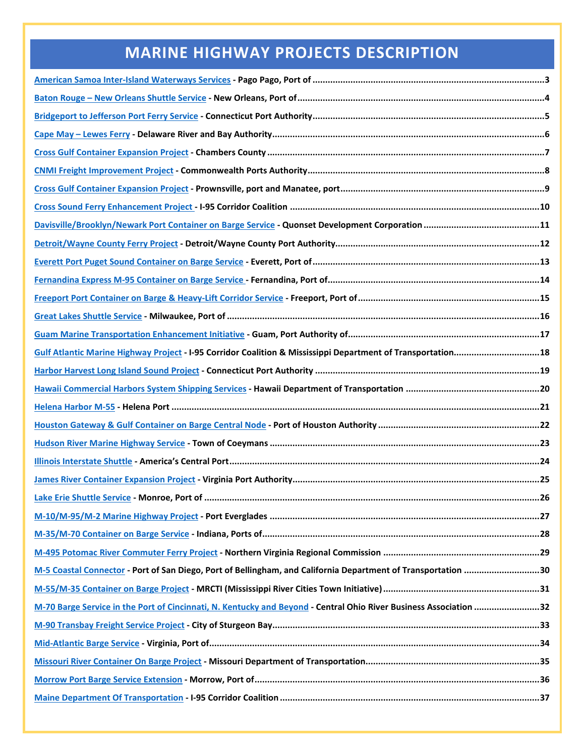### **MARINE HIGHWAY PROJECTS DESCRIPTION**

<span id="page-0-0"></span>

| Gulf Atlantic Marine Highway Project - I-95 Corridor Coalition & Mississippi Department of Transportation18       |  |
|-------------------------------------------------------------------------------------------------------------------|--|
|                                                                                                                   |  |
|                                                                                                                   |  |
|                                                                                                                   |  |
|                                                                                                                   |  |
|                                                                                                                   |  |
|                                                                                                                   |  |
|                                                                                                                   |  |
|                                                                                                                   |  |
|                                                                                                                   |  |
|                                                                                                                   |  |
|                                                                                                                   |  |
| M-5 Coastal Connector - Port of San Diego, Port of Bellingham, and California Department of Transportation 30     |  |
|                                                                                                                   |  |
| M-70 Barge Service in the Port of Cincinnati, N. Kentucky and Beyond - Central Ohio River Business Association 32 |  |
|                                                                                                                   |  |
|                                                                                                                   |  |
|                                                                                                                   |  |
|                                                                                                                   |  |
|                                                                                                                   |  |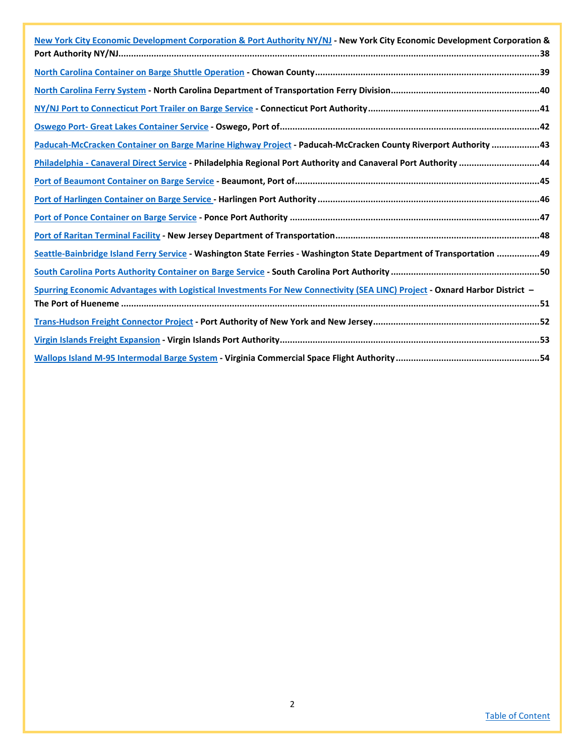| New York City Economic Development Corporation & Port Authority NY/NJ - New York City Economic Development Corporation &    |
|-----------------------------------------------------------------------------------------------------------------------------|
|                                                                                                                             |
|                                                                                                                             |
|                                                                                                                             |
|                                                                                                                             |
|                                                                                                                             |
| Paducah-McCracken Container on Barge Marine Highway Project - Paducah-McCracken County Riverport Authority 43               |
| Philadelphia - Canaveral Direct Service - Philadelphia Regional Port Authority and Canaveral Port Authority 44              |
|                                                                                                                             |
|                                                                                                                             |
|                                                                                                                             |
|                                                                                                                             |
| Seattle-Bainbridge Island Ferry Service - Washington State Ferries - Washington State Department of Transportation 49       |
|                                                                                                                             |
| Spurring Economic Advantages with Logistical Investments For New Connectivity (SEA LINC) Project - Oxnard Harbor District - |
|                                                                                                                             |
|                                                                                                                             |
|                                                                                                                             |
|                                                                                                                             |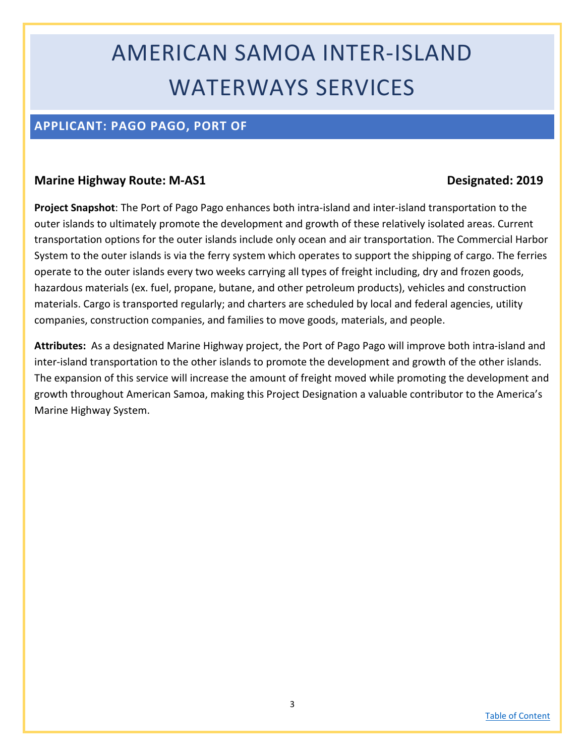# AMERICAN SAMOA INTER-ISLAND WATERWAYS SERVICES

### <span id="page-2-0"></span>**APPLICANT: PAGO PAGO, PORT OF**

#### **Marine Highway Route: M-AS1 Designated: 2019**

**Project Snapshot**: The Port of Pago Pago enhances both intra-island and inter-island transportation to the outer islands to ultimately promote the development and growth of these relatively isolated areas. Current transportation options for the outer islands include only ocean and air transportation. The Commercial Harbor System to the outer islands is via the ferry system which operates to support the shipping of cargo. The ferries operate to the outer islands every two weeks carrying all types of freight including, dry and frozen goods, hazardous materials (ex. fuel, propane, butane, and other petroleum products), vehicles and construction materials. Cargo is transported regularly; and charters are scheduled by local and federal agencies, utility companies, construction companies, and families to move goods, materials, and people.

**Attributes:** As a designated Marine Highway project, the Port of Pago Pago will improve both intra-island and inter-island transportation to the other islands to promote the development and growth of the other islands. The expansion of this service will increase the amount of freight moved while promoting the development and growth throughout American Samoa, making this Project Designation a valuable contributor to the America's Marine Highway System.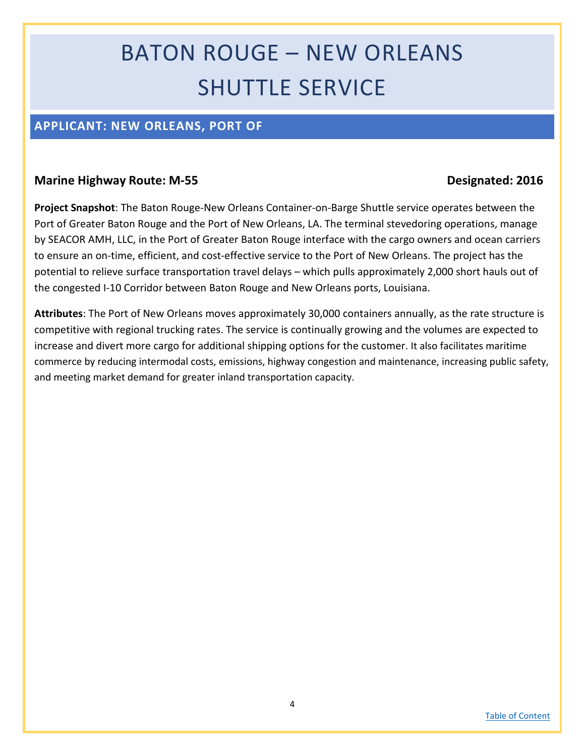# BATON ROUGE – NEW ORLEANS SHUTTLE SERVICE

### <span id="page-3-0"></span>**APPLICANT: NEW ORLEANS, PORT OF**

#### **Marine Highway Route: M-55 Designated:** 2016

**Project Snapshot**: The Baton Rouge-New Orleans Container-on-Barge Shuttle service operates between the Port of Greater Baton Rouge and the Port of New Orleans, LA. The terminal stevedoring operations, manage by SEACOR AMH, LLC, in the Port of Greater Baton Rouge interface with the cargo owners and ocean carriers to ensure an on-time, efficient, and cost-effective service to the Port of New Orleans. The project has the potential to relieve surface transportation travel delays – which pulls approximately 2,000 short hauls out of the congested I-10 Corridor between Baton Rouge and New Orleans ports, Louisiana.

**Attributes**: The Port of New Orleans moves approximately 30,000 containers annually, as the rate structure is competitive with regional trucking rates. The service is continually growing and the volumes are expected to increase and divert more cargo for additional shipping options for the customer. It also facilitates maritime commerce by reducing intermodal costs, emissions, highway congestion and maintenance, increasing public safety, and meeting market demand for greater inland transportation capacity.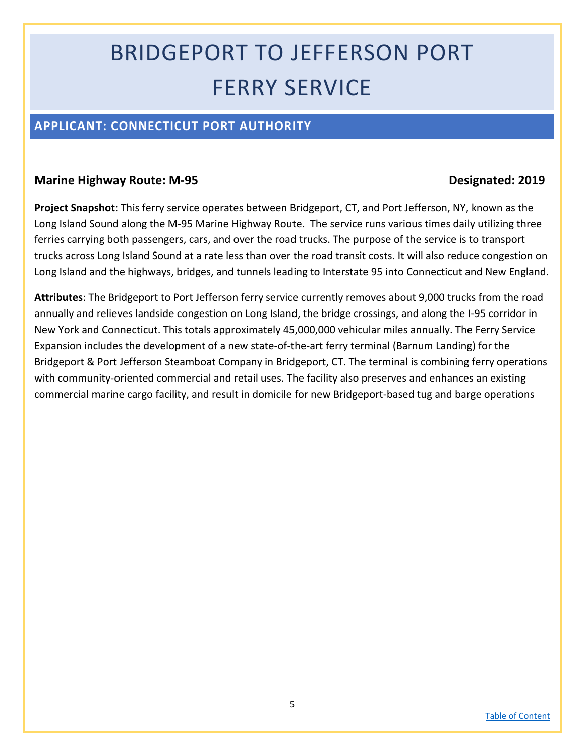# BRIDGEPORT TO JEFFERSON PORT FERRY SERVICE

### <span id="page-4-0"></span>**APPLICANT: CONNECTICUT PORT AUTHORITY**

#### **Marine Highway Route: M-95 Designated: 2019**

**Project Snapshot**: This ferry service operates between Bridgeport, CT, and Port Jefferson, NY, known as the Long Island Sound along the M-95 Marine Highway Route. The service runs various times daily utilizing three ferries carrying both passengers, cars, and over the road trucks. The purpose of the service is to transport trucks across Long Island Sound at a rate less than over the road transit costs. It will also reduce congestion on Long Island and the highways, bridges, and tunnels leading to Interstate 95 into Connecticut and New England.

**Attributes**: The Bridgeport to Port Jefferson ferry service currently removes about 9,000 trucks from the road annually and relieves landside congestion on Long Island, the bridge crossings, and along the I-95 corridor in New York and Connecticut. This totals approximately 45,000,000 vehicular miles annually. The Ferry Service Expansion includes the development of a new state-of-the-art ferry terminal (Barnum Landing) for the Bridgeport & Port Jefferson Steamboat Company in Bridgeport, CT. The terminal is combining ferry operations with community-oriented commercial and retail uses. The facility also preserves and enhances an existing commercial marine cargo facility, and result in domicile for new Bridgeport-based tug and barge operations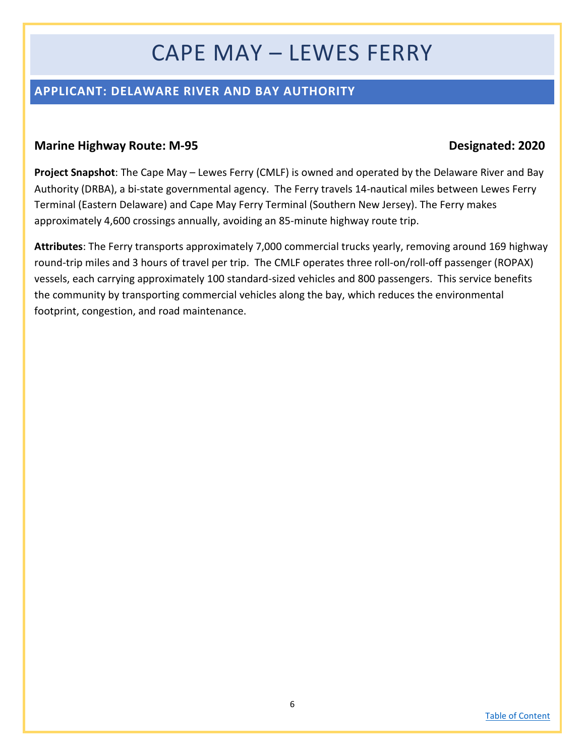## CAPE MAY – LEWES FERRY

### <span id="page-5-0"></span>**APPLICANT: DELAWARE RIVER AND BAY AUTHORITY**

#### **Marine Highway Route: M-95 Designated: 2020**

**Project Snapshot**: The Cape May – Lewes Ferry (CMLF) is owned and operated by the Delaware River and Bay Authority (DRBA), a bi-state governmental agency. The Ferry travels 14-nautical miles between Lewes Ferry Terminal (Eastern Delaware) and Cape May Ferry Terminal (Southern New Jersey). The Ferry makes approximately 4,600 crossings annually, avoiding an 85-minute highway route trip.

**Attributes**: The Ferry transports approximately 7,000 commercial trucks yearly, removing around 169 highway round-trip miles and 3 hours of travel per trip. The CMLF operates three roll-on/roll-off passenger (ROPAX) vessels, each carrying approximately 100 standard-sized vehicles and 800 passengers. This service benefits the community by transporting commercial vehicles along the bay, which reduces the environmental footprint, congestion, and road maintenance.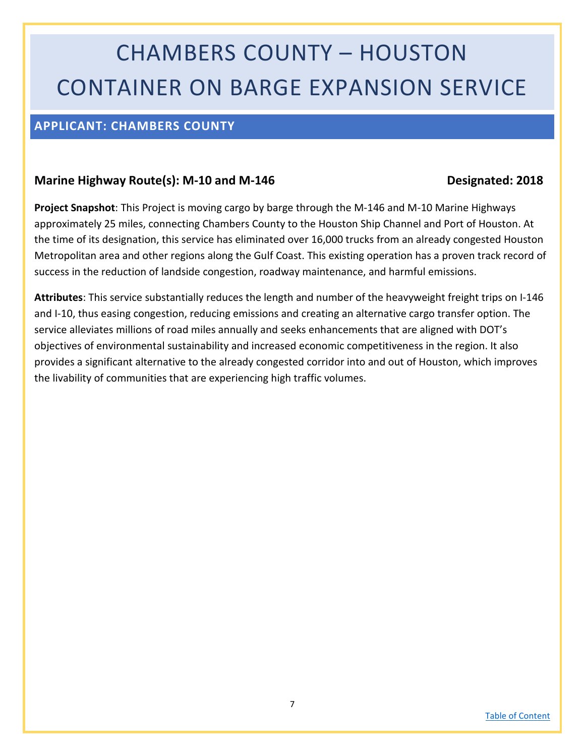# CHAMBERS COUNTY – HOUSTON CONTAINER ON BARGE EXPANSION SERVICE

#### <span id="page-6-0"></span>**APPLICANT: CHAMBERS COUNTY**

#### Marine Highway Route(s): M-10 and M-146 Designated: 2018

**Project Snapshot**: This Project is moving cargo by barge through the M-146 and M-10 Marine Highways approximately 25 miles, connecting Chambers County to the Houston Ship Channel and Port of Houston. At the time of its designation, this service has eliminated over 16,000 trucks from an already congested Houston Metropolitan area and other regions along the Gulf Coast. This existing operation has a proven track record of success in the reduction of landside congestion, roadway maintenance, and harmful emissions.

**Attributes**: This service substantially reduces the length and number of the heavyweight freight trips on I-146 and I-10, thus easing congestion, reducing emissions and creating an alternative cargo transfer option. The service alleviates millions of road miles annually and seeks enhancements that are aligned with DOT's objectives of environmental sustainability and increased economic competitiveness in the region. It also provides a significant alternative to the already congested corridor into and out of Houston, which improves the livability of communities that are experiencing high traffic volumes.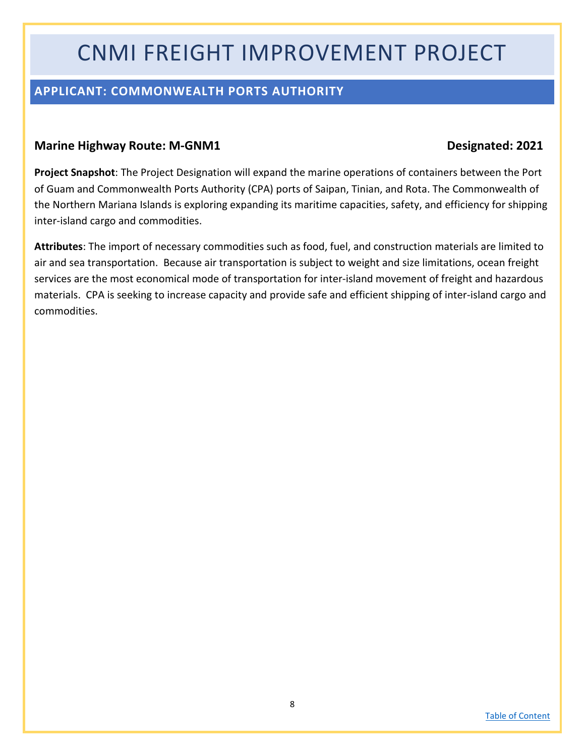## CNMI FREIGHT IMPROVEMENT PROJECT

### <span id="page-7-0"></span>**APPLICANT: COMMONWEALTH PORTS AUTHORITY**

#### **Marine Highway Route: M-GNM1 Designated: 2021**

**Project Snapshot**: The Project Designation will expand the marine operations of containers between the Port of Guam and Commonwealth Ports Authority (CPA) ports of Saipan, Tinian, and Rota. The Commonwealth of the Northern Mariana Islands is exploring expanding its maritime capacities, safety, and efficiency for shipping inter-island cargo and commodities.

**Attributes**: The import of necessary commodities such as food, fuel, and construction materials are limited to air and sea transportation. Because air transportation is subject to weight and size limitations, ocean freight services are the most economical mode of transportation for inter-island movement of freight and hazardous materials. CPA is seeking to increase capacity and provide safe and efficient shipping of inter-island cargo and commodities.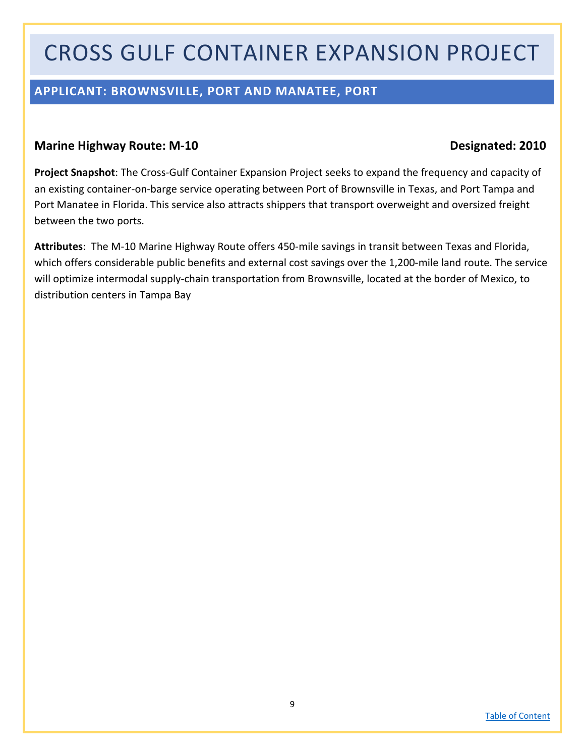## CROSS GULF CONTAINER EXPANSION PROJECT

### <span id="page-8-0"></span>**APPLICANT: BROWNSVILLE, PORT AND MANATEE, PORT**

#### **Marine Highway Route: M-10 Designated: 2010**

**Project Snapshot**: The Cross-Gulf Container Expansion Project seeks to expand the frequency and capacity of an existing container-on-barge service operating between Port of Brownsville in Texas, and Port Tampa and Port Manatee in Florida. This service also attracts shippers that transport overweight and oversized freight between the two ports.

**Attributes**: The M-10 Marine Highway Route offers 450-mile savings in transit between Texas and Florida, which offers considerable public benefits and external cost savings over the 1,200-mile land route. The service will optimize intermodal supply-chain transportation from Brownsville, located at the border of Mexico, to distribution centers in Tampa Bay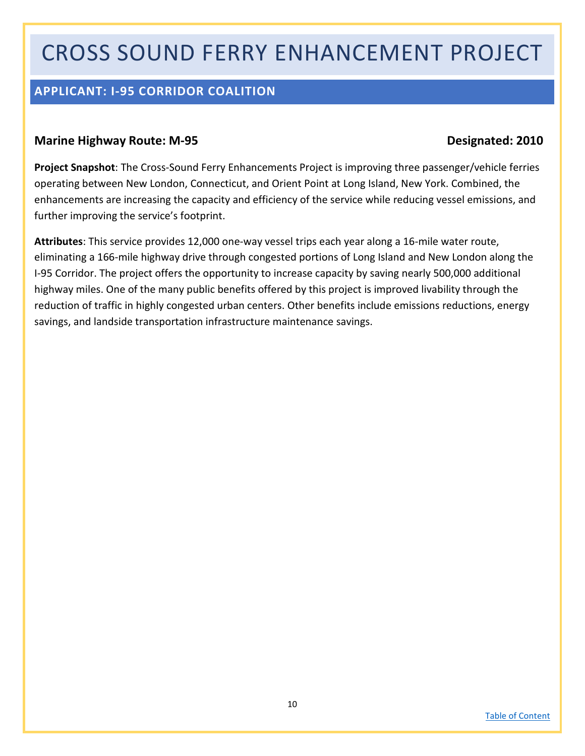## CROSS SOUND FERRY ENHANCEMENT PROJECT

### <span id="page-9-0"></span>**APPLICANT: I-95 CORRIDOR COALITION**

#### **Marine Highway Route: M-95 Designated: 2010**

**Project Snapshot**: The Cross-Sound Ferry Enhancements Project is improving three passenger/vehicle ferries operating between New London, Connecticut, and Orient Point at Long Island, New York. Combined, the enhancements are increasing the capacity and efficiency of the service while reducing vessel emissions, and further improving the service's footprint.

**Attributes**: This service provides 12,000 one-way vessel trips each year along a 16-mile water route, eliminating a 166-mile highway drive through congested portions of Long Island and New London along the I-95 Corridor. The project offers the opportunity to increase capacity by saving nearly 500,000 additional highway miles. One of the many public benefits offered by this project is improved livability through the reduction of traffic in highly congested urban centers. Other benefits include emissions reductions, energy savings, and landside transportation infrastructure maintenance savings.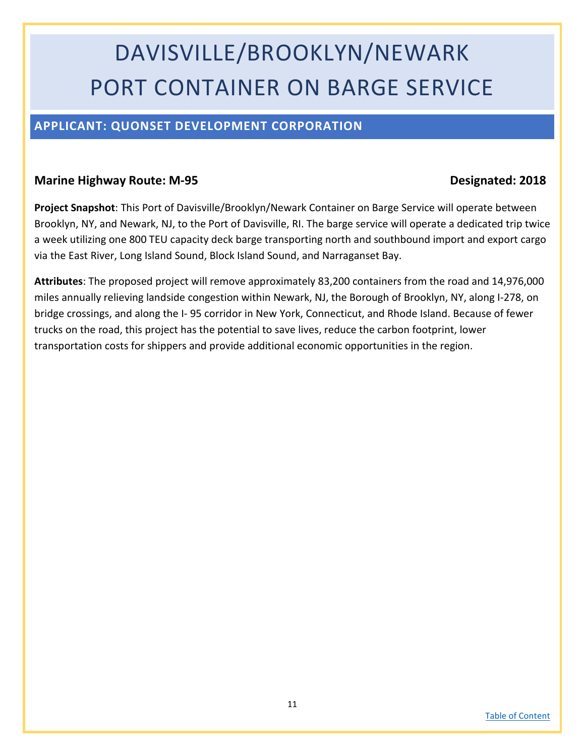# DAVISVILLE/BROOKLYN/NEWARK PORT CONTAINER ON BARGE SERVICE

### <span id="page-10-0"></span>**APPLICANT: QUONSET DEVELOPMENT CORPORATION**

#### **Marine Highway Route: M-95 Designated: 2018**

**Project Snapshot**: This Port of Davisville/Brooklyn/Newark Container on Barge Service will operate between Brooklyn, NY, and Newark, NJ, to the Port of Davisville, RI. The barge service will operate a dedicated trip twice a week utilizing one 800 TEU capacity deck barge transporting north and southbound import and export cargo via the East River, Long Island Sound, Block Island Sound, and Narraganset Bay.

**Attributes**: The proposed project will remove approximately 83,200 containers from the road and 14,976,000 miles annually relieving landside congestion within Newark, NJ, the Borough of Brooklyn, NY, along I-278, on bridge crossings, and along the I- 95 corridor in New York, Connecticut, and Rhode Island. Because of fewer trucks on the road, this project has the potential to save lives, reduce the carbon footprint, lower transportation costs for shippers and provide additional economic opportunities in the region.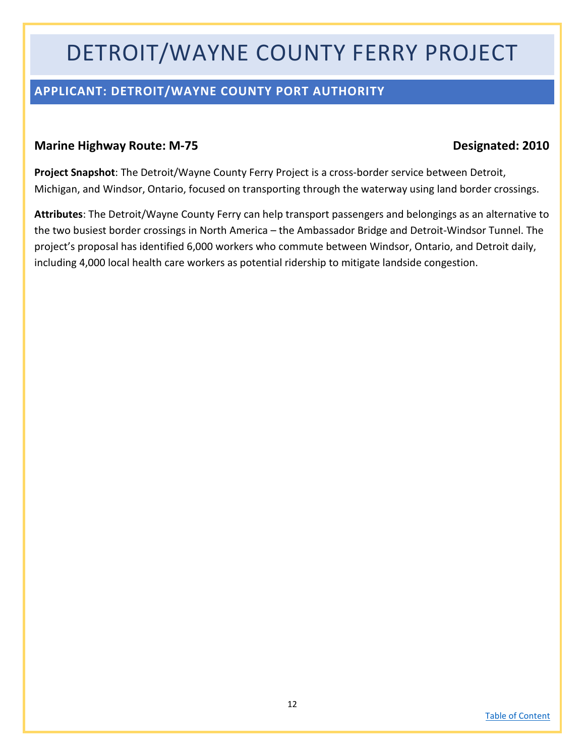## DETROIT/WAYNE COUNTY FERRY PROJECT

### <span id="page-11-0"></span>**APPLICANT: DETROIT/WAYNE COUNTY PORT AUTHORITY**

#### **Marine Highway Route: M-75 Designated: 2010**

**Project Snapshot**: The Detroit/Wayne County Ferry Project is a cross-border service between Detroit, Michigan, and Windsor, Ontario, focused on transporting through the waterway using land border crossings.

**Attributes**: The Detroit/Wayne County Ferry can help transport passengers and belongings as an alternative to the two busiest border crossings in North America – the Ambassador Bridge and Detroit-Windsor Tunnel. The project's proposal has identified 6,000 workers who commute between Windsor, Ontario, and Detroit daily, including 4,000 local health care workers as potential ridership to mitigate landside congestion.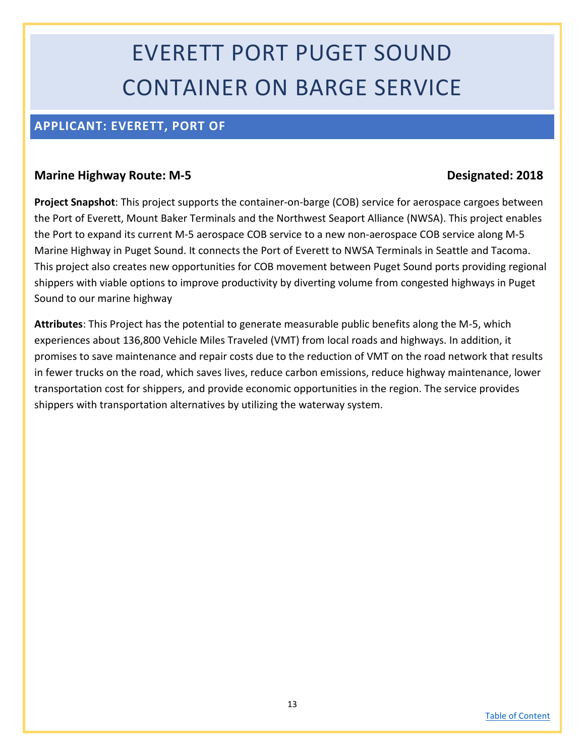# EVERETT PORT PUGET SOUND CONTAINER ON BARGE SERVICE

### <span id="page-12-0"></span>**APPLICANT: EVERETT, PORT OF**

#### **Marine Highway Route: M-5 Designated: 2018**

**Project Snapshot**: This project supports the container-on-barge (COB) service for aerospace cargoes between the Port of Everett, Mount Baker Terminals and the Northwest Seaport Alliance (NWSA). This project enables the Port to expand its current M-5 aerospace COB service to a new non-aerospace COB service along M-5 Marine Highway in Puget Sound. It connects the Port of Everett to NWSA Terminals in Seattle and Tacoma. This project also creates new opportunities for COB movement between Puget Sound ports providing regional shippers with viable options to improve productivity by diverting volume from congested highways in Puget Sound to our marine highway

**Attributes**: This Project has the potential to generate measurable public benefits along the M-5, which experiences about 136,800 Vehicle Miles Traveled (VMT) from local roads and highways. In addition, it promises to save maintenance and repair costs due to the reduction of VMT on the road network that results in fewer trucks on the road, which saves lives, reduce carbon emissions, reduce highway maintenance, lower transportation cost for shippers, and provide economic opportunities in the region. The service provides shippers with transportation alternatives by utilizing the waterway system.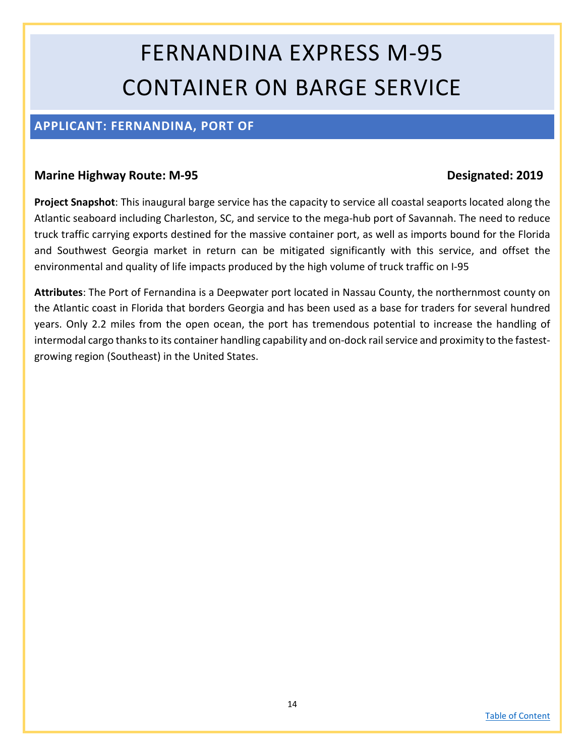# FERNANDINA EXPRESS M-95 CONTAINER ON BARGE SERVICE

### <span id="page-13-0"></span>**APPLICANT: FERNANDINA, PORT OF**

#### **Marine Highway Route: M-95 Designated: 2019**

**Project Snapshot**: This inaugural barge service has the capacity to service all coastal seaports located along the Atlantic seaboard including Charleston, SC, and service to the mega-hub port of Savannah. The need to reduce truck traffic carrying exports destined for the massive container port, as well as imports bound for the Florida and Southwest Georgia market in return can be mitigated significantly with this service, and offset the environmental and quality of life impacts produced by the high volume of truck traffic on I-95

**Attributes**: The Port of Fernandina is a Deepwater port located in Nassau County, the northernmost county on the Atlantic coast in Florida that borders Georgia and has been used as a base for traders for several hundred years. Only 2.2 miles from the open ocean, the port has tremendous potential to increase the handling of intermodal cargo thanks to its container handling capability and on-dock rail service and proximity to the fastestgrowing region (Southeast) in the United States.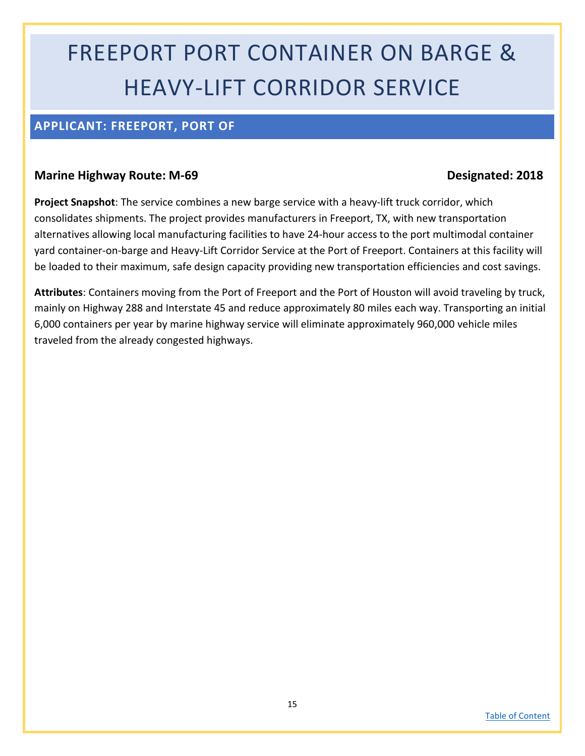# FREEPORT PORT CONTAINER ON BARGE & HEAVY-LIFT CORRIDOR SERVICE

#### <span id="page-14-0"></span>**APPLICANT: FREEPORT, PORT OF**

#### **Marine Highway Route: M-69 Designated: 2018**

**Project Snapshot**: The service combines a new barge service with a heavy-lift truck corridor, which consolidates shipments. The project provides manufacturers in Freeport, TX, with new transportation alternatives allowing local manufacturing facilities to have 24-hour access to the port multimodal container yard container-on-barge and Heavy-Lift Corridor Service at the Port of Freeport. Containers at this facility will be loaded to their maximum, safe design capacity providing new transportation efficiencies and cost savings.

**Attributes**: Containers moving from the Port of Freeport and the Port of Houston will avoid traveling by truck, mainly on Highway 288 and Interstate 45 and reduce approximately 80 miles each way. Transporting an initial 6,000 containers per year by marine highway service will eliminate approximately 960,000 vehicle miles traveled from the already congested highways.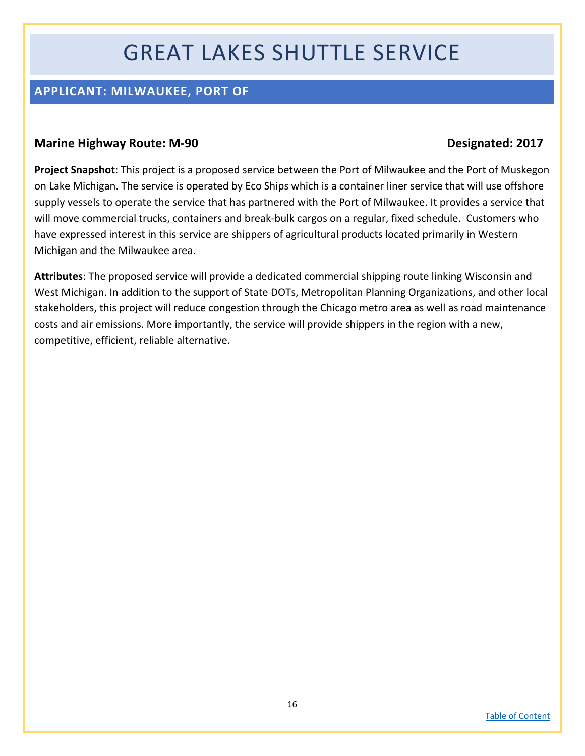## GREAT LAKES SHUTTLE SERVICE

### <span id="page-15-0"></span>**APPLICANT: MILWAUKEE, PORT OF**

#### **Marine Highway Route: M-90 Designated: 2017**

**Project Snapshot**: This project is a proposed service between the Port of Milwaukee and the Port of Muskegon on Lake Michigan. The service is operated by Eco Ships which is a container liner service that will use offshore supply vessels to operate the service that has partnered with the Port of Milwaukee. It provides a service that will move commercial trucks, containers and break-bulk cargos on a regular, fixed schedule. Customers who have expressed interest in this service are shippers of agricultural products located primarily in Western Michigan and the Milwaukee area.

**Attributes**: The proposed service will provide a dedicated commercial shipping route linking Wisconsin and West Michigan. In addition to the support of State DOTs, Metropolitan Planning Organizations, and other local stakeholders, this project will reduce congestion through the Chicago metro area as well as road maintenance costs and air emissions. More importantly, the service will provide shippers in the region with a new, competitive, efficient, reliable alternative.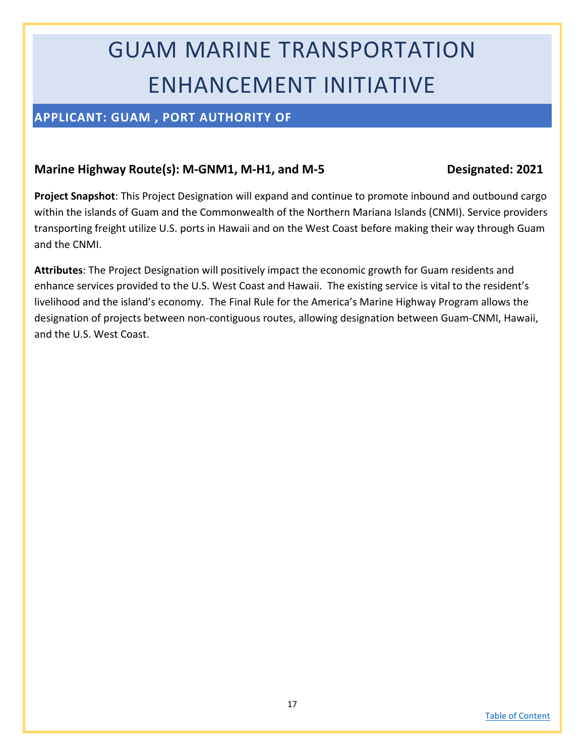# GUAM MARINE TRANSPORTATION ENHANCEMENT INITIATIVE

### <span id="page-16-0"></span>**APPLICANT: GUAM , PORT AUTHORITY OF**

#### Marine Highway Route(s): M-GNM1, M-H1, and M-5 Designated: 2021

**Project Snapshot**: This Project Designation will expand and continue to promote inbound and outbound cargo within the islands of Guam and the Commonwealth of the Northern Mariana Islands (CNMI). Service providers transporting freight utilize U.S. ports in Hawaii and on the West Coast before making their way through Guam and the CNMI.

**Attributes**: The Project Designation will positively impact the economic growth for Guam residents and enhance services provided to the U.S. West Coast and Hawaii. The existing service is vital to the resident's livelihood and the island's economy. The Final Rule for the America's Marine Highway Program allows the designation of projects between non-contiguous routes, allowing designation between Guam-CNMI, Hawaii, and the U.S. West Coast.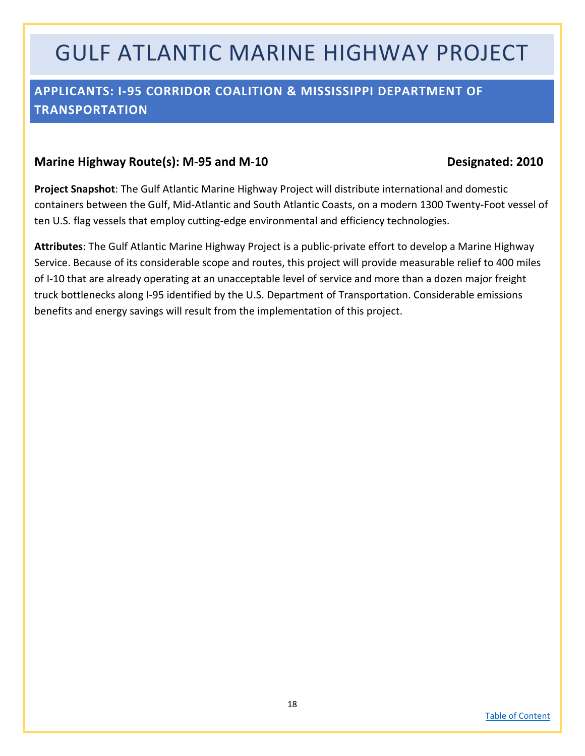## GULF ATLANTIC MARINE HIGHWAY PROJECT

### <span id="page-17-0"></span>**APPLICANTS: I-95 CORRIDOR COALITION & MISSISSIPPI DEPARTMENT OF TRANSPORTATION**

#### Marine Highway Route(s): M-95 and M-10 Designated: 2010

**Project Snapshot**: The Gulf Atlantic Marine Highway Project will distribute international and domestic containers between the Gulf, Mid-Atlantic and South Atlantic Coasts, on a modern 1300 Twenty-Foot vessel of ten U.S. flag vessels that employ cutting-edge environmental and efficiency technologies.

**Attributes**: The Gulf Atlantic Marine Highway Project is a public-private effort to develop a Marine Highway Service. Because of its considerable scope and routes, this project will provide measurable relief to 400 miles of I-10 that are already operating at an unacceptable level of service and more than a dozen major freight truck bottlenecks along I-95 identified by the U.S. Department of Transportation. Considerable emissions benefits and energy savings will result from the implementation of this project.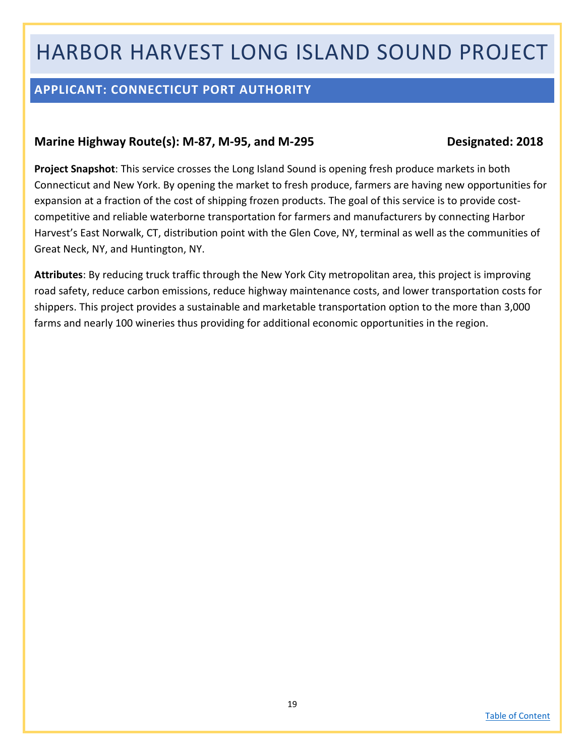## HARBOR HARVEST LONG ISLAND SOUND PROJECT

### <span id="page-18-0"></span>**APPLICANT: CONNECTICUT PORT AUTHORITY**

#### Marine Highway Route(s): M-87, M-95, and M-295 Designated: 2018

**Project Snapshot**: This service crosses the Long Island Sound is opening fresh produce markets in both Connecticut and New York. By opening the market to fresh produce, farmers are having new opportunities for expansion at a fraction of the cost of shipping frozen products. The goal of this service is to provide costcompetitive and reliable waterborne transportation for farmers and manufacturers by connecting Harbor Harvest's East Norwalk, CT, distribution point with the Glen Cove, NY, terminal as well as the communities of Great Neck, NY, and Huntington, NY.

**Attributes**: By reducing truck traffic through the New York City metropolitan area, this project is improving road safety, reduce carbon emissions, reduce highway maintenance costs, and lower transportation costs for shippers. This project provides a sustainable and marketable transportation option to the more than 3,000 farms and nearly 100 wineries thus providing for additional economic opportunities in the region.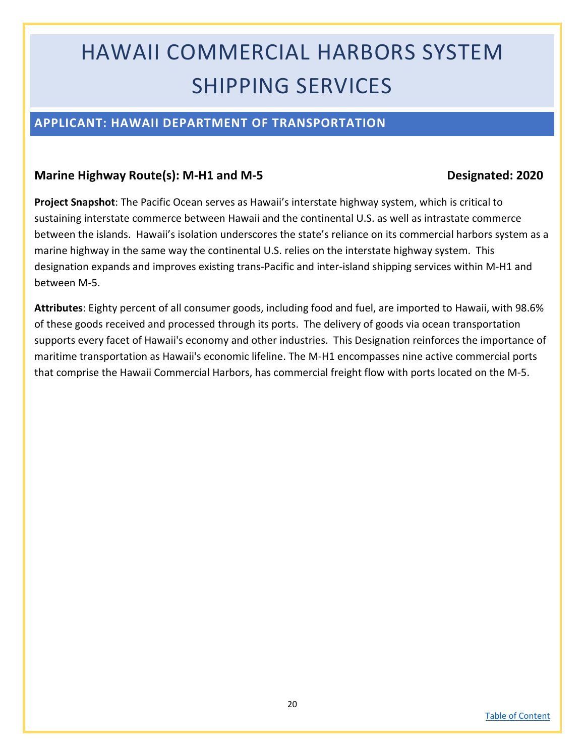## HAWAII COMMERCIAL HARBORS SYSTEM SHIPPING SERVICES

#### <span id="page-19-0"></span>**APPLICANT: HAWAII DEPARTMENT OF TRANSPORTATION**

#### **Marine Highway Route(s): M-H1 and M-5 Designated: 2020**

**Project Snapshot**: The Pacific Ocean serves as Hawaii's interstate highway system, which is critical to sustaining interstate commerce between Hawaii and the continental U.S. as well as intrastate commerce between the islands. Hawaii's isolation underscores the state's reliance on its commercial harbors system as a marine highway in the same way the continental U.S. relies on the interstate highway system. This designation expands and improves existing trans-Pacific and inter-island shipping services within M-H1 and between M-5.

**Attributes**: Eighty percent of all consumer goods, including food and fuel, are imported to Hawaii, with 98.6% of these goods received and processed through its ports. The delivery of goods via ocean transportation supports every facet of Hawaii's economy and other industries. This Designation reinforces the importance of maritime transportation as Hawaii's economic lifeline. The M-H1 encompasses nine active commercial ports that comprise the Hawaii Commercial Harbors, has commercial freight flow with ports located on the M-5.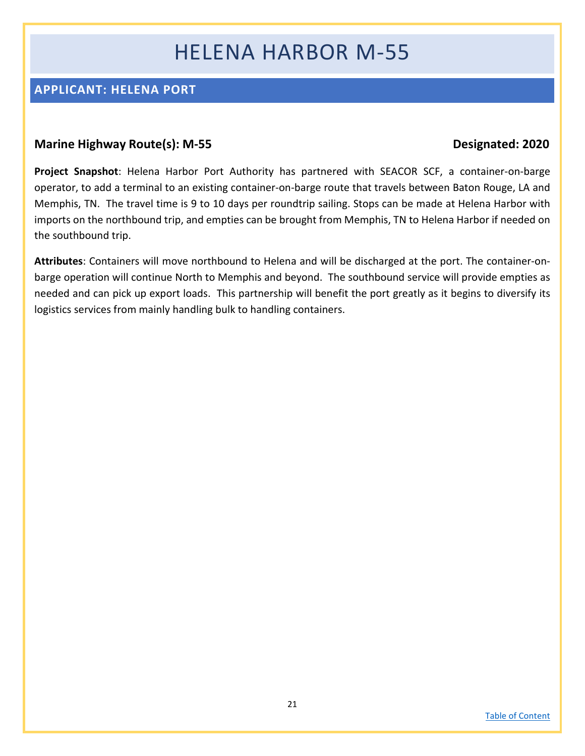## HELENA HARBOR M-55

### <span id="page-20-0"></span>**APPLICANT: HELENA PORT**

#### **Marine Highway Route(s): M-55 Designated: 2020**

**Project Snapshot**: Helena Harbor Port Authority has partnered with SEACOR SCF, a container-on-barge operator, to add a terminal to an existing container-on-barge route that travels between Baton Rouge, LA and Memphis, TN. The travel time is 9 to 10 days per roundtrip sailing. Stops can be made at Helena Harbor with imports on the northbound trip, and empties can be brought from Memphis, TN to Helena Harbor if needed on the southbound trip.

**Attributes**: Containers will move northbound to Helena and will be discharged at the port. The container-onbarge operation will continue North to Memphis and beyond. The southbound service will provide empties as needed and can pick up export loads. This partnership will benefit the port greatly as it begins to diversify its logistics services from mainly handling bulk to handling containers.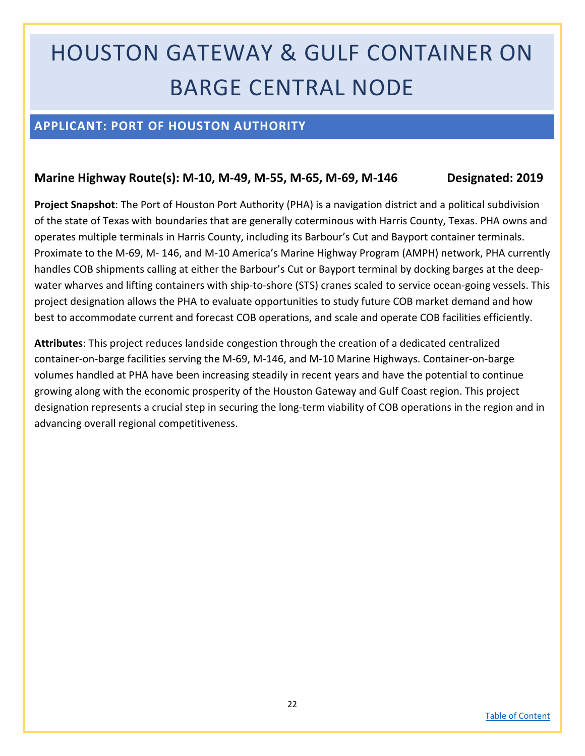# HOUSTON GATEWAY & GULF CONTAINER ON BARGE CENTRAL NODE

### <span id="page-21-0"></span>**APPLICANT: PORT OF HOUSTON AUTHORITY**

#### **Marine Highway Route(s): M-10, M-49, M-55, M-65, M-69, M-146 Designated: 2019**

**Project Snapshot**: The Port of Houston Port Authority (PHA) is a navigation district and a political subdivision of the state of Texas with boundaries that are generally coterminous with Harris County, Texas. PHA owns and operates multiple terminals in Harris County, including its Barbour's Cut and Bayport container terminals. Proximate to the M-69, M- 146, and M-10 America's Marine Highway Program (AMPH) network, PHA currently handles COB shipments calling at either the Barbour's Cut or Bayport terminal by docking barges at the deepwater wharves and lifting containers with ship-to-shore (STS) cranes scaled to service ocean-going vessels. This project designation allows the PHA to evaluate opportunities to study future COB market demand and how best to accommodate current and forecast COB operations, and scale and operate COB facilities efficiently.

**Attributes**: This project reduces landside congestion through the creation of a dedicated centralized container-on-barge facilities serving the M-69, M-146, and M-10 Marine Highways. Container-on-barge volumes handled at PHA have been increasing steadily in recent years and have the potential to continue growing along with the economic prosperity of the Houston Gateway and Gulf Coast region. This project designation represents a crucial step in securing the long-term viability of COB operations in the region and in advancing overall regional competitiveness.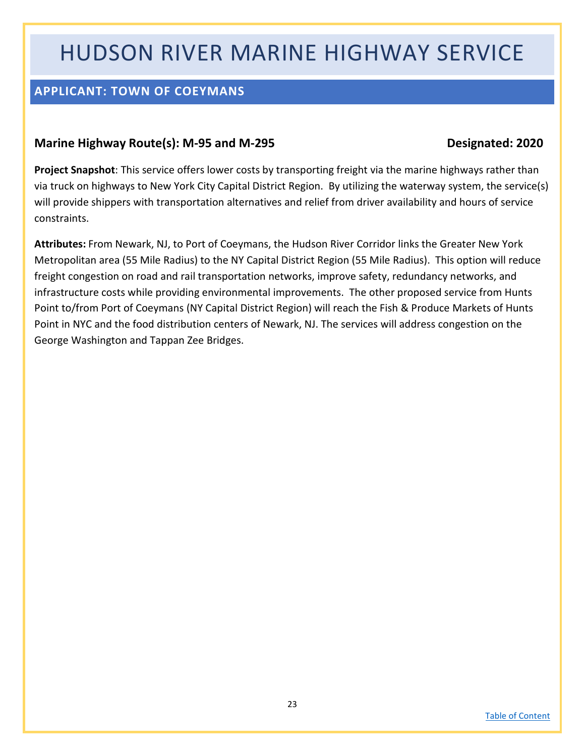## HUDSON RIVER MARINE HIGHWAY SERVICE

### <span id="page-22-0"></span>**APPLICANT: TOWN OF COEYMANS**

#### **Marine Highway Route(s): M-95 and M-295 Designated: 2020**

**Project Snapshot**: This service offers lower costs by transporting freight via the marine highways rather than via truck on highways to New York City Capital District Region. By utilizing the waterway system, the service(s) will provide shippers with transportation alternatives and relief from driver availability and hours of service constraints.

**Attributes:** From Newark, NJ, to Port of Coeymans, the Hudson River Corridor links the Greater New York Metropolitan area (55 Mile Radius) to the NY Capital District Region (55 Mile Radius). This option will reduce freight congestion on road and rail transportation networks, improve safety, redundancy networks, and infrastructure costs while providing environmental improvements. The other proposed service from Hunts Point to/from Port of Coeymans (NY Capital District Region) will reach the Fish & Produce Markets of Hunts Point in NYC and the food distribution centers of Newark, NJ. The services will address congestion on the George Washington and Tappan Zee Bridges.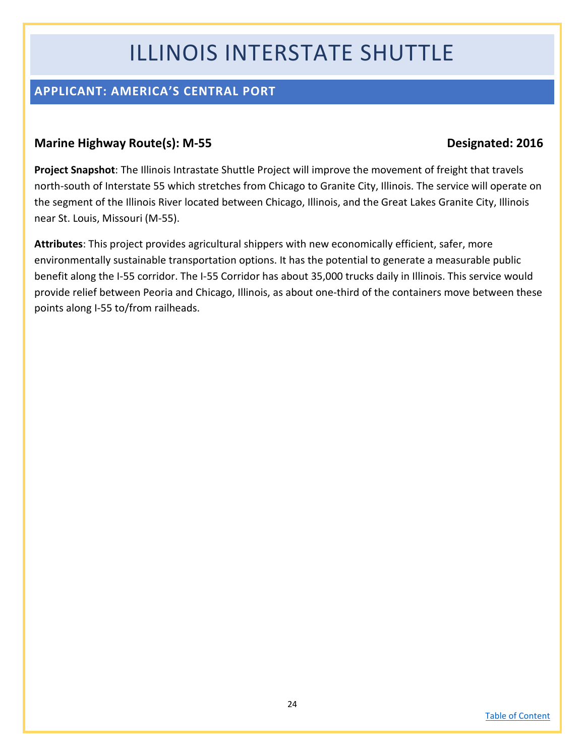## ILLINOIS INTERSTATE SHUTTLE

### <span id="page-23-0"></span>**APPLICANT: AMERICA'S CENTRAL PORT**

### **Marine Highway Route(s): M-55 Designated: 2016**

**Project Snapshot**: The Illinois Intrastate Shuttle Project will improve the movement of freight that travels north-south of Interstate 55 which stretches from Chicago to Granite City, Illinois. The service will operate on the segment of the Illinois River located between Chicago, Illinois, and the Great Lakes Granite City, Illinois near St. Louis, Missouri (M-55).

**Attributes**: This project provides agricultural shippers with new economically efficient, safer, more environmentally sustainable transportation options. It has the potential to generate a measurable public benefit along the I-55 corridor. The I-55 Corridor has about 35,000 trucks daily in Illinois. This service would provide relief between Peoria and Chicago, Illinois, as about one-third of the containers move between these points along I-55 to/from railheads.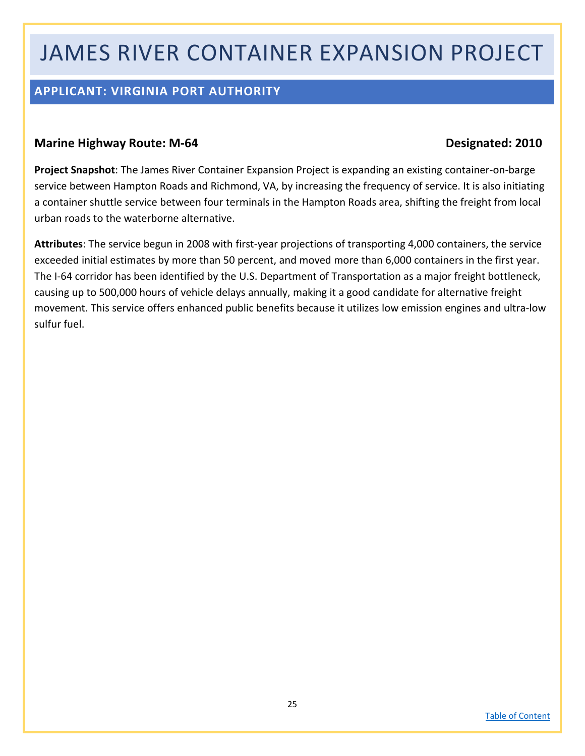## JAMES RIVER CONTAINER EXPANSION PROJECT

### <span id="page-24-0"></span>**APPLICANT: VIRGINIA PORT AUTHORITY**

#### **Marine Highway Route: M-64 Designated: 2010**

**Project Snapshot**: The James River Container Expansion Project is expanding an existing container-on-barge service between Hampton Roads and Richmond, VA, by increasing the frequency of service. It is also initiating a container shuttle service between four terminals in the Hampton Roads area, shifting the freight from local urban roads to the waterborne alternative.

**Attributes**: The service begun in 2008 with first-year projections of transporting 4,000 containers, the service exceeded initial estimates by more than 50 percent, and moved more than 6,000 containers in the first year. The I-64 corridor has been identified by the U.S. Department of Transportation as a major freight bottleneck, causing up to 500,000 hours of vehicle delays annually, making it a good candidate for alternative freight movement. This service offers enhanced public benefits because it utilizes low emission engines and ultra-low sulfur fuel.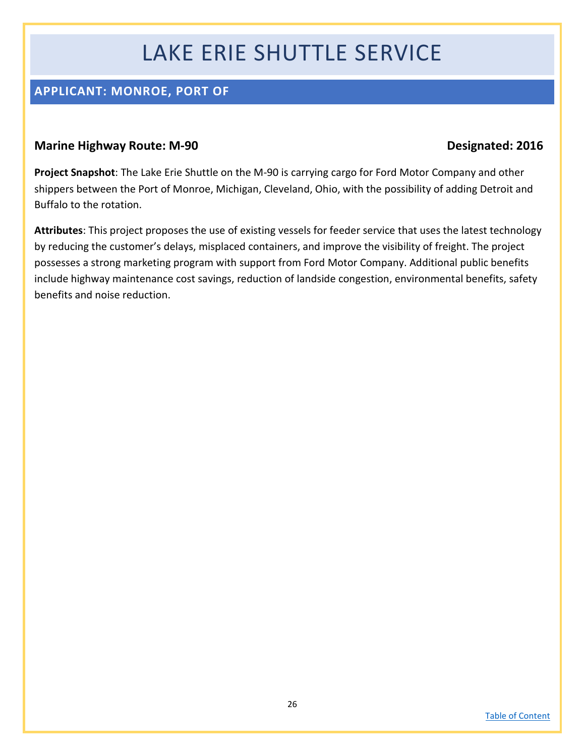## LAKE ERIE SHUTTLE SERVICE

### <span id="page-25-0"></span>**APPLICANT: MONROE, PORT OF**

#### **Marine Highway Route: M-90 Designated: 2016**

**Project Snapshot**: The Lake Erie Shuttle on the M-90 is carrying cargo for Ford Motor Company and other shippers between the Port of Monroe, Michigan, Cleveland, Ohio, with the possibility of adding Detroit and Buffalo to the rotation.

**Attributes**: This project proposes the use of existing vessels for feeder service that uses the latest technology by reducing the customer's delays, misplaced containers, and improve the visibility of freight. The project possesses a strong marketing program with support from Ford Motor Company. Additional public benefits include highway maintenance cost savings, reduction of landside congestion, environmental benefits, safety benefits and noise reduction.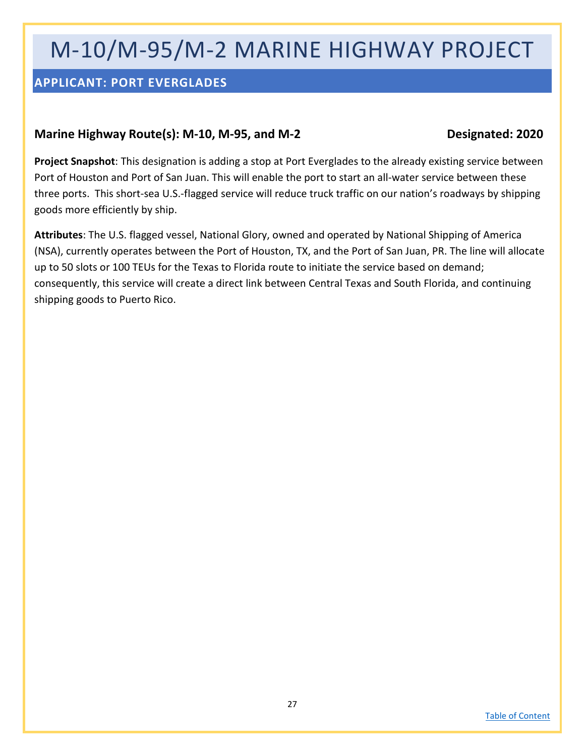## M-10/M-95/M-2 MARINE HIGHWAY PROJECT

### <span id="page-26-0"></span>**APPLICANT: PORT EVERGLADES**

#### **Marine Highway Route(s): M-10, M-95, and M-2 Designated: 2020**

**Project Snapshot**: This designation is adding a stop at Port Everglades to the already existing service between Port of Houston and Port of San Juan. This will enable the port to start an all-water service between these three ports. This short-sea U.S.-flagged service will reduce truck traffic on our nation's roadways by shipping goods more efficiently by ship.

**Attributes**: The U.S. flagged vessel, National Glory, owned and operated by National Shipping of America (NSA), currently operates between the Port of Houston, TX, and the Port of San Juan, PR. The line will allocate up to 50 slots or 100 TEUs for the Texas to Florida route to initiate the service based on demand; consequently, this service will create a direct link between Central Texas and South Florida, and continuing shipping goods to Puerto Rico.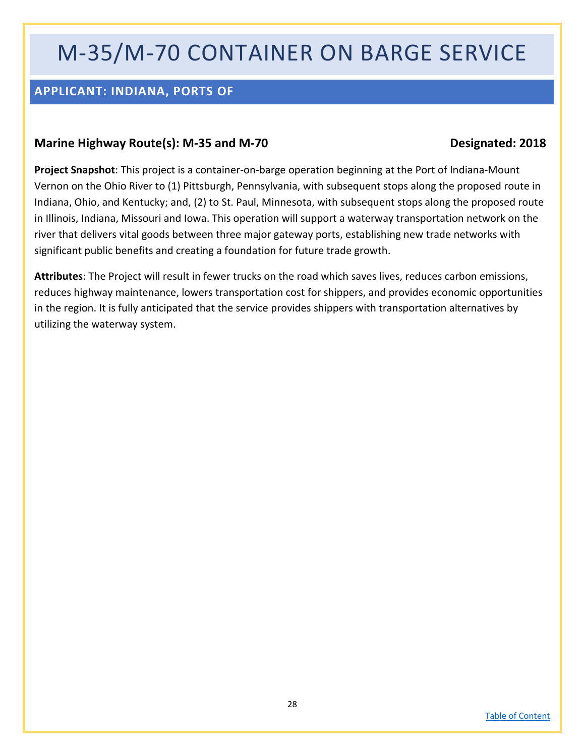## M-35/M-70 CONTAINER ON BARGE SERVICE

### <span id="page-27-0"></span>**APPLICANT: INDIANA, PORTS OF**

#### **Marine Highway Route(s): M-35 and M-70 Designated: 2018**

**Project Snapshot**: This project is a container-on-barge operation beginning at the Port of Indiana-Mount Vernon on the Ohio River to (1) Pittsburgh, Pennsylvania, with subsequent stops along the proposed route in Indiana, Ohio, and Kentucky; and, (2) to St. Paul, Minnesota, with subsequent stops along the proposed route in Illinois, Indiana, Missouri and Iowa. This operation will support a waterway transportation network on the river that delivers vital goods between three major gateway ports, establishing new trade networks with significant public benefits and creating a foundation for future trade growth.

**Attributes**: The Project will result in fewer trucks on the road which saves lives, reduces carbon emissions, reduces highway maintenance, lowers transportation cost for shippers, and provides economic opportunities in the region. It is fully anticipated that the service provides shippers with transportation alternatives by utilizing the waterway system.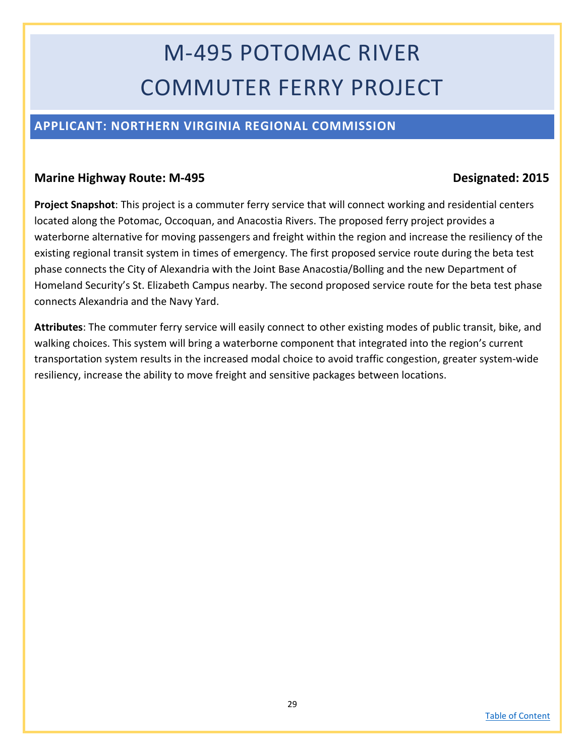# M-495 POTOMAC RIVER COMMUTER FERRY PROJECT

### <span id="page-28-0"></span>**APPLICANT: NORTHERN VIRGINIA REGIONAL COMMISSION**

#### **Marine Highway Route: M-495 Designated: 2015**

**Project Snapshot**: This project is a commuter ferry service that will connect working and residential centers located along the Potomac, Occoquan, and Anacostia Rivers. The proposed ferry project provides a waterborne alternative for moving passengers and freight within the region and increase the resiliency of the existing regional transit system in times of emergency. The first proposed service route during the beta test phase connects the City of Alexandria with the Joint Base Anacostia/Bolling and the new Department of Homeland Security's St. Elizabeth Campus nearby. The second proposed service route for the beta test phase connects Alexandria and the Navy Yard.

**Attributes**: The commuter ferry service will easily connect to other existing modes of public transit, bike, and walking choices. This system will bring a waterborne component that integrated into the region's current transportation system results in the increased modal choice to avoid traffic congestion, greater system-wide resiliency, increase the ability to move freight and sensitive packages between locations.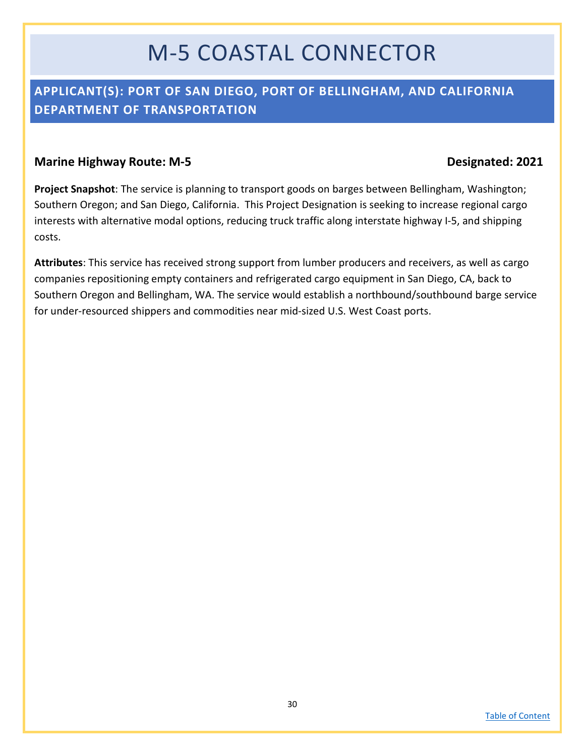## M-5 COASTAL CONNECTOR

### <span id="page-29-0"></span>**APPLICANT(S): PORT OF SAN DIEGO, PORT OF BELLINGHAM, AND CALIFORNIA DEPARTMENT OF TRANSPORTATION**

#### **Marine Highway Route: M-5 Designated: 2021**

**Project Snapshot**: The service is planning to transport goods on barges between Bellingham, Washington; Southern Oregon; and San Diego, California. This Project Designation is seeking to increase regional cargo interests with alternative modal options, reducing truck traffic along interstate highway I-5, and shipping costs.

**Attributes**: This service has received strong support from lumber producers and receivers, as well as cargo companies repositioning empty containers and refrigerated cargo equipment in San Diego, CA, back to Southern Oregon and Bellingham, WA. The service would establish a northbound/southbound barge service for under-resourced shippers and commodities near mid-sized U.S. West Coast ports.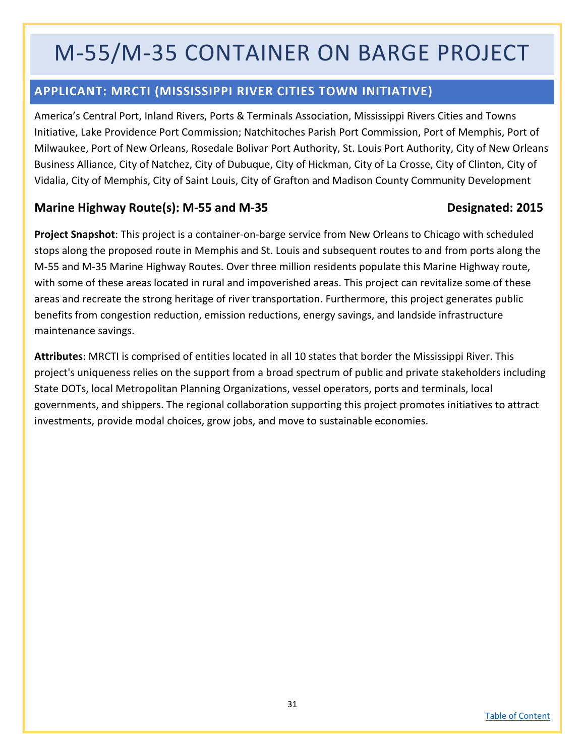## M-55/M-35 CONTAINER ON BARGE PROJECT

### <span id="page-30-0"></span>**APPLICANT: MRCTI (MISSISSIPPI RIVER CITIES TOWN INITIATIVE)**

America's Central Port, Inland Rivers, Ports & Terminals Association, Mississippi Rivers Cities and Towns Initiative, Lake Providence Port Commission; Natchitoches Parish Port Commission, Port of Memphis, Port of Milwaukee, Port of New Orleans, Rosedale Bolivar Port Authority, St. Louis Port Authority, City of New Orleans Business Alliance, City of Natchez, City of Dubuque, City of Hickman, City of La Crosse, City of Clinton, City of Vidalia, City of Memphis, City of Saint Louis, City of Grafton and Madison County Community Development

#### Marine Highway Route(s): M-55 and M-35 **Designated: 2015**

**Project Snapshot**: This project is a container-on-barge service from New Orleans to Chicago with scheduled stops along the proposed route in Memphis and St. Louis and subsequent routes to and from ports along the M-55 and M-35 Marine Highway Routes. Over three million residents populate this Marine Highway route, with some of these areas located in rural and impoverished areas. This project can revitalize some of these areas and recreate the strong heritage of river transportation. Furthermore, this project generates public benefits from congestion reduction, emission reductions, energy savings, and landside infrastructure maintenance savings.

**Attributes**: MRCTI is comprised of entities located in all 10 states that border the Mississippi River. This project's uniqueness relies on the support from a broad spectrum of public and private stakeholders including State DOTs, local Metropolitan Planning Organizations, vessel operators, ports and terminals, local governments, and shippers. The regional collaboration supporting this project promotes initiatives to attract investments, provide modal choices, grow jobs, and move to sustainable economies.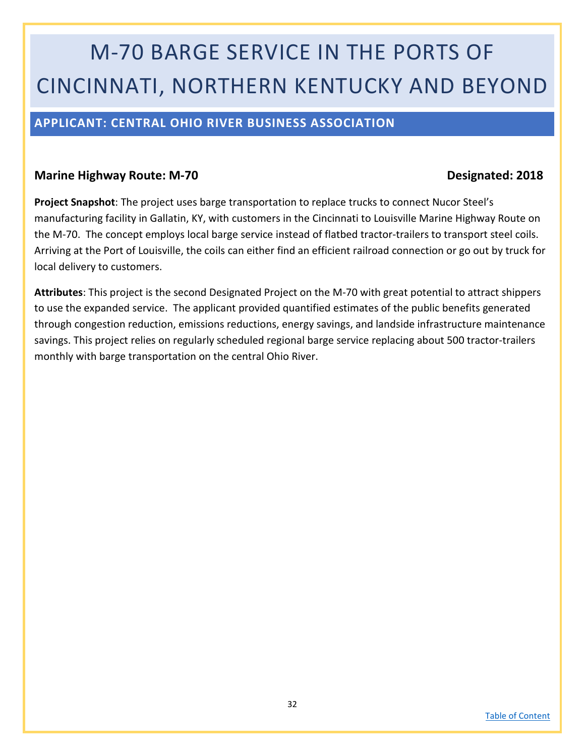# M-70 BARGE SERVICE IN THE PORTS OF CINCINNATI, NORTHERN KENTUCKY AND BEYOND

### <span id="page-31-0"></span>**APPLICANT: CENTRAL OHIO RIVER BUSINESS ASSOCIATION**

#### **Marine Highway Route: M-70 Designated: 2018**

**Project Snapshot**: The project uses barge transportation to replace trucks to connect Nucor Steel's manufacturing facility in Gallatin, KY, with customers in the Cincinnati to Louisville Marine Highway Route on the M-70. The concept employs local barge service instead of flatbed tractor-trailers to transport steel coils. Arriving at the Port of Louisville, the coils can either find an efficient railroad connection or go out by truck for local delivery to customers.

**Attributes**: This project is the second Designated Project on the M-70 with great potential to attract shippers to use the expanded service. The applicant provided quantified estimates of the public benefits generated through congestion reduction, emissions reductions, energy savings, and landside infrastructure maintenance savings. This project relies on regularly scheduled regional barge service replacing about 500 tractor-trailers monthly with barge transportation on the central Ohio River.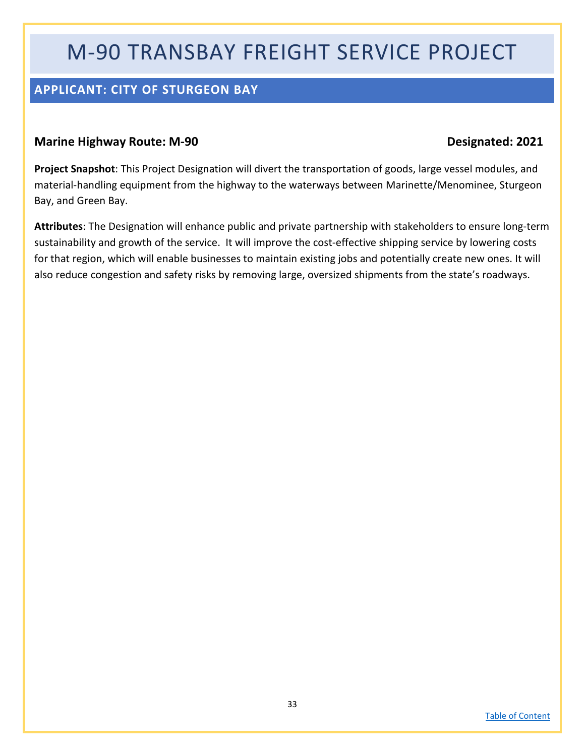## M-90 TRANSBAY FREIGHT SERVICE PROJECT

### <span id="page-32-0"></span>**APPLICANT: CITY OF STURGEON BAY**

#### **Marine Highway Route: M-90 Designated: 2021**

**Project Snapshot**: This Project Designation will divert the transportation of goods, large vessel modules, and material-handling equipment from the highway to the waterways between Marinette/Menominee, Sturgeon Bay, and Green Bay.

**Attributes**: The Designation will enhance public and private partnership with stakeholders to ensure long-term sustainability and growth of the service. It will improve the cost-effective shipping service by lowering costs for that region, which will enable businesses to maintain existing jobs and potentially create new ones. It will also reduce congestion and safety risks by removing large, oversized shipments from the state's roadways.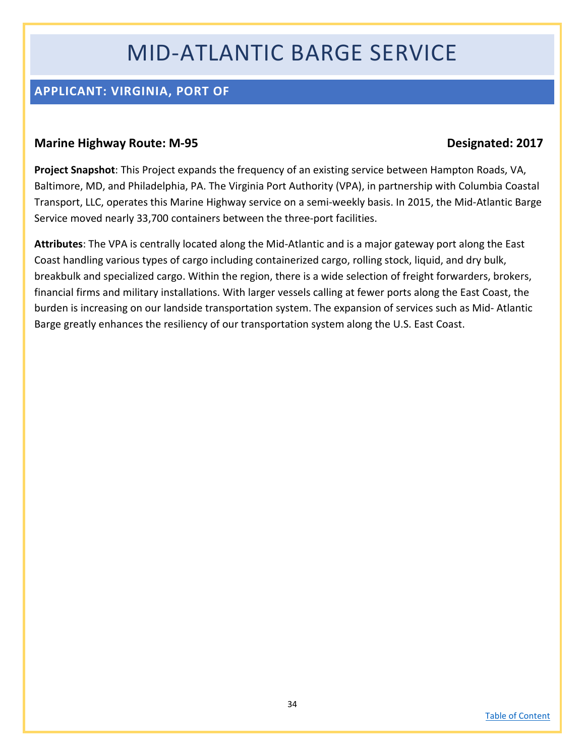## MID-ATLANTIC BARGE SERVICE

### <span id="page-33-0"></span>**APPLICANT: VIRGINIA, PORT OF**

#### **Marine Highway Route: M-95 Designated: 2017**

**Project Snapshot**: This Project expands the frequency of an existing service between Hampton Roads, VA, Baltimore, MD, and Philadelphia, PA. The Virginia Port Authority (VPA), in partnership with Columbia Coastal Transport, LLC, operates this Marine Highway service on a semi-weekly basis. In 2015, the Mid-Atlantic Barge Service moved nearly 33,700 containers between the three-port facilities.

**Attributes**: The VPA is centrally located along the Mid-Atlantic and is a major gateway port along the East Coast handling various types of cargo including containerized cargo, rolling stock, liquid, and dry bulk, breakbulk and specialized cargo. Within the region, there is a wide selection of freight forwarders, brokers, financial firms and military installations. With larger vessels calling at fewer ports along the East Coast, the burden is increasing on our landside transportation system. The expansion of services such as Mid- Atlantic Barge greatly enhances the resiliency of our transportation system along the U.S. East Coast.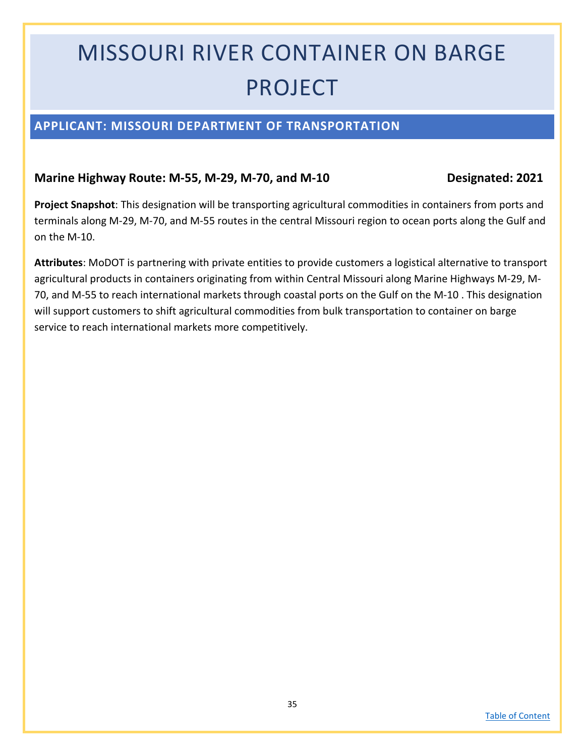# MISSOURI RIVER CONTAINER ON BARGE PROJECT

### <span id="page-34-0"></span>**APPLICANT: MISSOURI DEPARTMENT OF TRANSPORTATION**

#### **Marine Highway Route: M-55, M-29, M-70, and M-10 Designated: 2021**

**Project Snapshot**: This designation will be transporting agricultural commodities in containers from ports and terminals along M-29, M-70, and M-55 routes in the central Missouri region to ocean ports along the Gulf and on the M-10.

**Attributes**: MoDOT is partnering with private entities to provide customers a logistical alternative to transport agricultural products in containers originating from within Central Missouri along Marine Highways M-29, M-70, and M-55 to reach international markets through coastal ports on the Gulf on the M-10 . This designation will support customers to shift agricultural commodities from bulk transportation to container on barge service to reach international markets more competitively.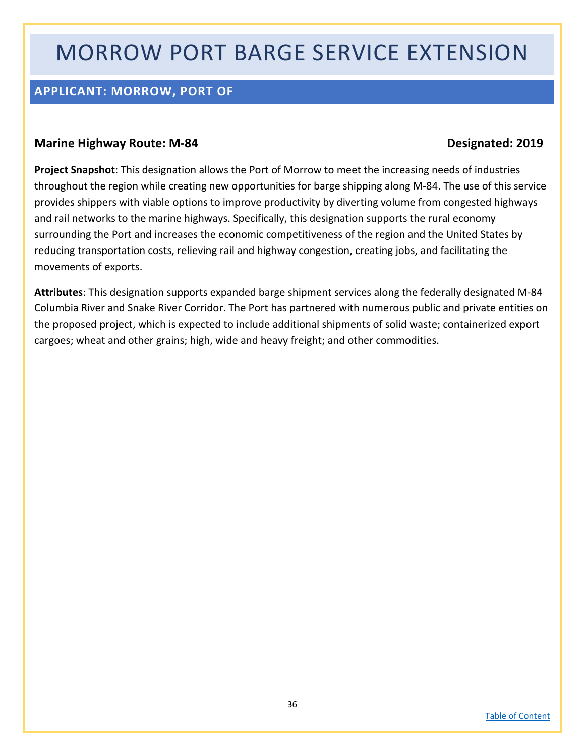## MORROW PORT BARGE SERVICE EXTENSION

### <span id="page-35-0"></span>**APPLICANT: MORROW, PORT OF**

#### **Marine Highway Route: M-84 Designated: 2019**

**Project Snapshot**: This designation allows the Port of Morrow to meet the increasing needs of industries throughout the region while creating new opportunities for barge shipping along M-84. The use of this service provides shippers with viable options to improve productivity by diverting volume from congested highways and rail networks to the marine highways. Specifically, this designation supports the rural economy surrounding the Port and increases the economic competitiveness of the region and the United States by reducing transportation costs, relieving rail and highway congestion, creating jobs, and facilitating the movements of exports.

**Attributes**: This designation supports expanded barge shipment services along the federally designated M-84 Columbia River and Snake River Corridor. The Port has partnered with numerous public and private entities on the proposed project, which is expected to include additional shipments of solid waste; containerized export cargoes; wheat and other grains; high, wide and heavy freight; and other commodities.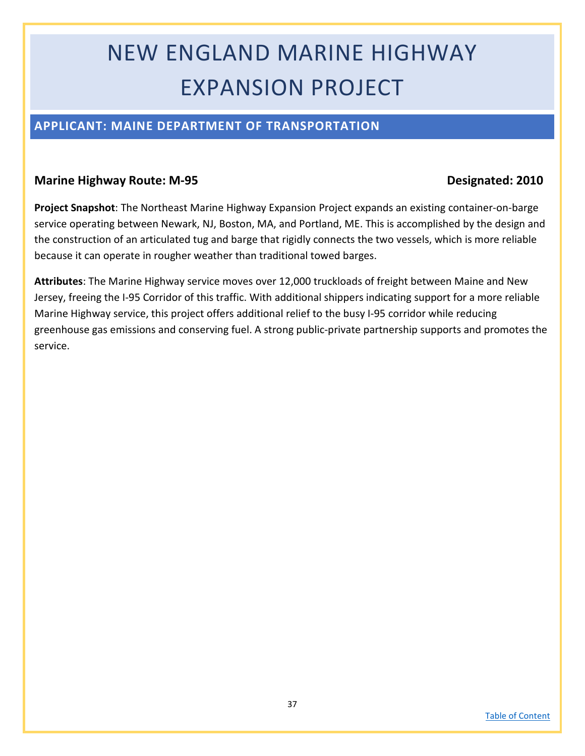# NEW ENGLAND MARINE HIGHWAY EXPANSION PROJECT

### <span id="page-36-0"></span>**APPLICANT: MAINE DEPARTMENT OF TRANSPORTATION**

#### **Marine Highway Route: M-95 Designated: 2010**

**Project Snapshot**: The Northeast Marine Highway Expansion Project expands an existing container-on-barge service operating between Newark, NJ, Boston, MA, and Portland, ME. This is accomplished by the design and the construction of an articulated tug and barge that rigidly connects the two vessels, which is more reliable because it can operate in rougher weather than traditional towed barges.

**Attributes**: The Marine Highway service moves over 12,000 truckloads of freight between Maine and New Jersey, freeing the I-95 Corridor of this traffic. With additional shippers indicating support for a more reliable Marine Highway service, this project offers additional relief to the busy I-95 corridor while reducing greenhouse gas emissions and conserving fuel. A strong public-private partnership supports and promotes the service.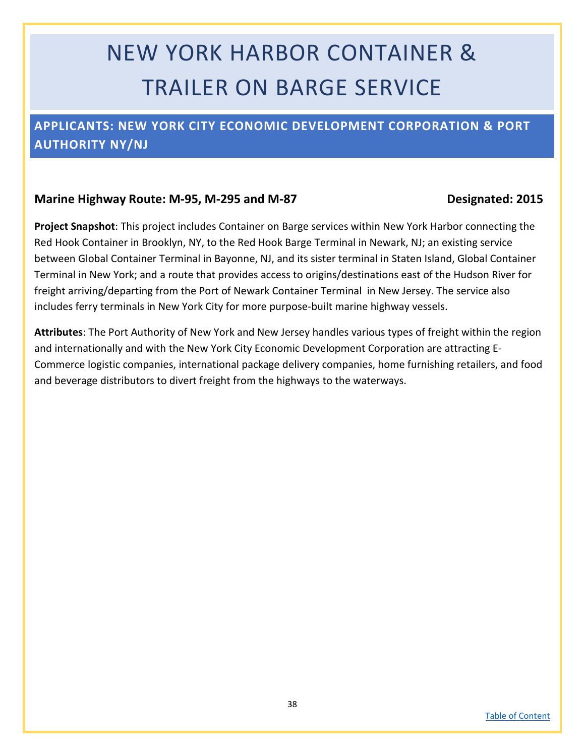# NEW YORK HARBOR CONTAINER & TRAILER ON BARGE SERVICE

### <span id="page-37-0"></span>**APPLICANTS: NEW YORK CITY ECONOMIC DEVELOPMENT CORPORATION & PORT AUTHORITY NY/NJ**

#### **Marine Highway Route: M-95, M-295 and M-87 Designated: 2015**

**Project Snapshot**: This project includes Container on Barge services within New York Harbor connecting the Red Hook Container in Brooklyn, NY, to the Red Hook Barge Terminal in Newark, NJ; an existing service between Global Container Terminal in Bayonne, NJ, and its sister terminal in Staten Island, Global Container Terminal in New York; and a route that provides access to origins/destinations east of the Hudson River for freight arriving/departing from the Port of Newark Container Terminal in New Jersey. The service also includes ferry terminals in New York City for more purpose-built marine highway vessels.

**Attributes**: The Port Authority of New York and New Jersey handles various types of freight within the region and internationally and with the New York City Economic Development Corporation are attracting E-Commerce logistic companies, international package delivery companies, home furnishing retailers, and food and beverage distributors to divert freight from the highways to the waterways.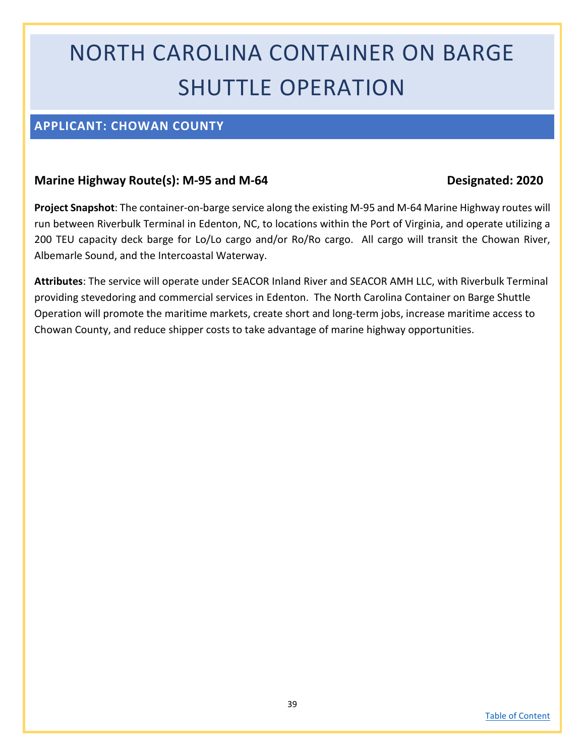# NORTH CAROLINA CONTAINER ON BARGE SHUTTLE OPERATION

### <span id="page-38-0"></span>**APPLICANT: CHOWAN COUNTY**

#### **Marine Highway Route(s): M-95 and M-64 Designated: 2020**

**Project Snapshot**: The container-on-barge service along the existing M-95 and M-64 Marine Highway routes will run between Riverbulk Terminal in Edenton, NC, to locations within the Port of Virginia, and operate utilizing a 200 TEU capacity deck barge for Lo/Lo cargo and/or Ro/Ro cargo. All cargo will transit the Chowan River, Albemarle Sound, and the Intercoastal Waterway.

**Attributes**: The service will operate under SEACOR Inland River and SEACOR AMH LLC, with Riverbulk Terminal providing stevedoring and commercial services in Edenton. The North Carolina Container on Barge Shuttle Operation will promote the maritime markets, create short and long-term jobs, increase maritime access to Chowan County, and reduce shipper costs to take advantage of marine highway opportunities.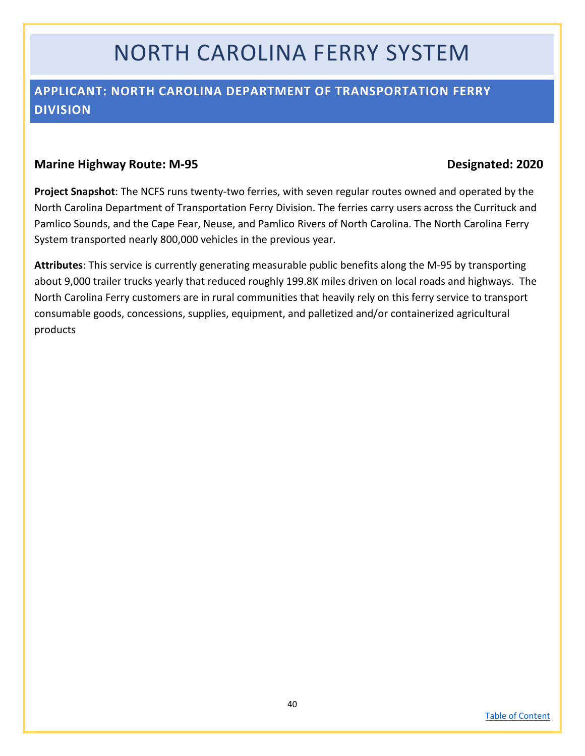## NORTH CAROLINA FERRY SYSTEM

### <span id="page-39-0"></span>**APPLICANT: NORTH CAROLINA DEPARTMENT OF TRANSPORTATION FERRY DIVISION**

#### **Marine Highway Route: M-95 Designated: 2020**

**Project Snapshot**: The NCFS runs twenty-two ferries, with seven regular routes owned and operated by the North Carolina Department of Transportation Ferry Division. The ferries carry users across the Currituck and Pamlico Sounds, and the Cape Fear, Neuse, and Pamlico Rivers of North Carolina. The North Carolina Ferry System transported nearly 800,000 vehicles in the previous year.

**Attributes**: This service is currently generating measurable public benefits along the M-95 by transporting about 9,000 trailer trucks yearly that reduced roughly 199.8K miles driven on local roads and highways. The North Carolina Ferry customers are in rural communities that heavily rely on this ferry service to transport consumable goods, concessions, supplies, equipment, and palletized and/or containerized agricultural products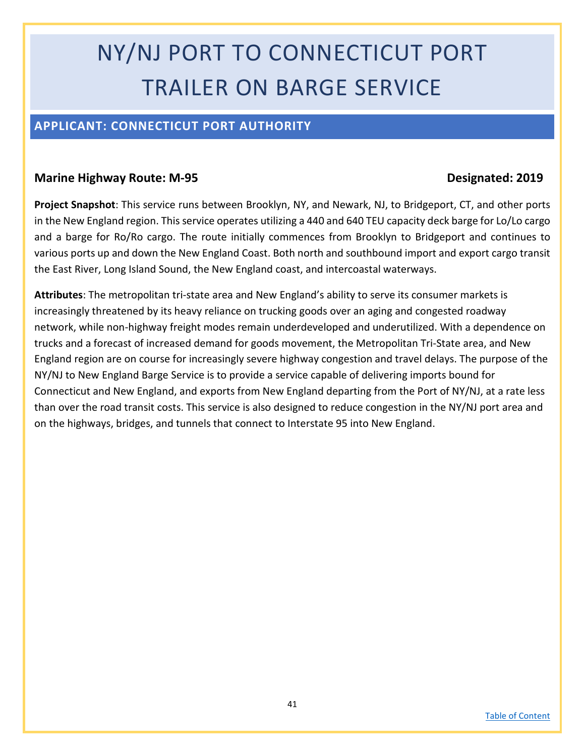# NY/NJ PORT TO CONNECTICUT PORT TRAILER ON BARGE SERVICE

### <span id="page-40-0"></span>**APPLICANT: CONNECTICUT PORT AUTHORITY**

#### **Marine Highway Route: M-95 Designated: 2019**

**Project Snapshot**: This service runs between Brooklyn, NY, and Newark, NJ, to Bridgeport, CT, and other ports in the New England region. This service operates utilizing a 440 and 640 TEU capacity deck barge for Lo/Lo cargo and a barge for Ro/Ro cargo. The route initially commences from Brooklyn to Bridgeport and continues to various ports up and down the New England Coast. Both north and southbound import and export cargo transit the East River, Long Island Sound, the New England coast, and intercoastal waterways.

**Attributes**: The metropolitan tri-state area and New England's ability to serve its consumer markets is increasingly threatened by its heavy reliance on trucking goods over an aging and congested roadway network, while non-highway freight modes remain underdeveloped and underutilized. With a dependence on trucks and a forecast of increased demand for goods movement, the Metropolitan Tri-State area, and New England region are on course for increasingly severe highway congestion and travel delays. The purpose of the NY/NJ to New England Barge Service is to provide a service capable of delivering imports bound for Connecticut and New England, and exports from New England departing from the Port of NY/NJ, at a rate less than over the road transit costs. This service is also designed to reduce congestion in the NY/NJ port area and on the highways, bridges, and tunnels that connect to Interstate 95 into New England.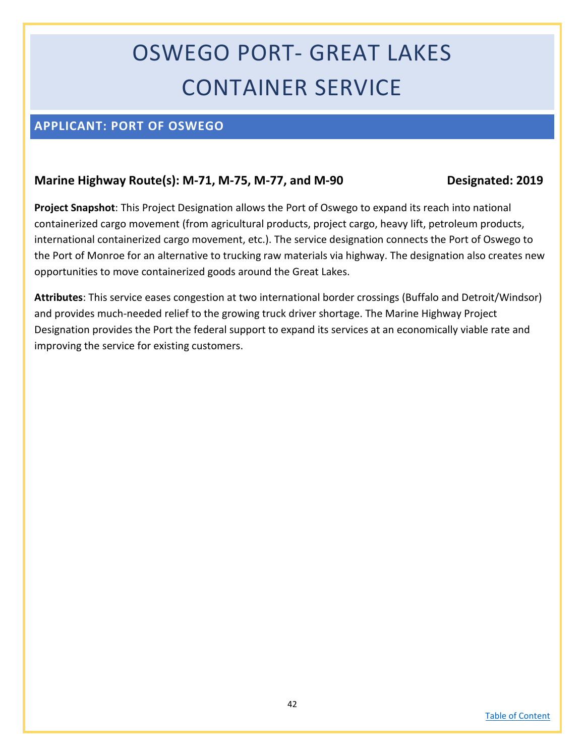# OSWEGO PORT- GREAT LAKES CONTAINER SERVICE

### <span id="page-41-0"></span>**APPLICANT: PORT OF OSWEGO**

### **Marine Highway Route(s): M-71, M-75, M-77, and M-90 Designated: 2019**

**Project Snapshot**: This Project Designation allows the Port of Oswego to expand its reach into national containerized cargo movement (from agricultural products, project cargo, heavy lift, petroleum products, international containerized cargo movement, etc.). The service designation connects the Port of Oswego to the Port of Monroe for an alternative to trucking raw materials via highway. The designation also creates new opportunities to move containerized goods around the Great Lakes.

**Attributes**: This service eases congestion at two international border crossings (Buffalo and Detroit/Windsor) and provides much-needed relief to the growing truck driver shortage. The Marine Highway Project Designation provides the Port the federal support to expand its services at an economically viable rate and improving the service for existing customers.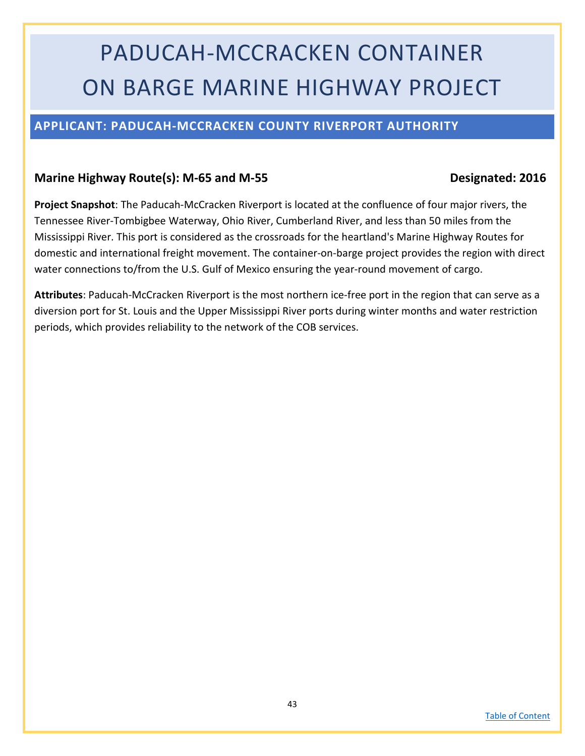# PADUCAH-MCCRACKEN CONTAINER ON BARGE MARINE HIGHWAY PROJECT

### <span id="page-42-0"></span>**APPLICANT: PADUCAH-MCCRACKEN COUNTY RIVERPORT AUTHORITY**

#### Marine Highway Route(s): M-65 and M-55 **Designated: 2016**

**Project Snapshot**: The Paducah-McCracken Riverport is located at the confluence of four major rivers, the Tennessee River-Tombigbee Waterway, Ohio River, Cumberland River, and less than 50 miles from the Mississippi River. This port is considered as the crossroads for the heartland's Marine Highway Routes for domestic and international freight movement. The container-on-barge project provides the region with direct water connections to/from the U.S. Gulf of Mexico ensuring the year-round movement of cargo.

**Attributes**: Paducah-McCracken Riverport is the most northern ice-free port in the region that can serve as a diversion port for St. Louis and the Upper Mississippi River ports during winter months and water restriction periods, which provides reliability to the network of the COB services.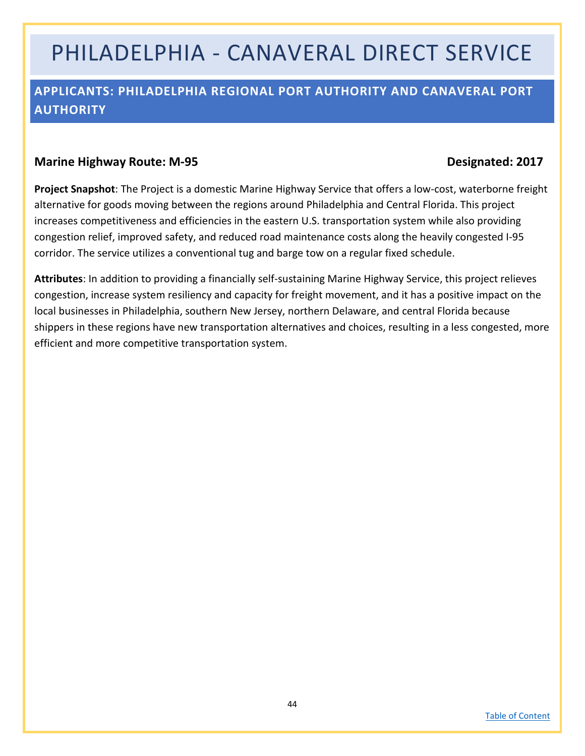## PHILADELPHIA - CANAVERAL DIRECT SERVICE

### <span id="page-43-0"></span>**APPLICANTS: PHILADELPHIA REGIONAL PORT AUTHORITY AND CANAVERAL PORT AUTHORITY**

#### **Marine Highway Route: M-95 Designated: 2017**

**Project Snapshot**: The Project is a domestic Marine Highway Service that offers a low-cost, waterborne freight alternative for goods moving between the regions around Philadelphia and Central Florida. This project increases competitiveness and efficiencies in the eastern U.S. transportation system while also providing congestion relief, improved safety, and reduced road maintenance costs along the heavily congested I-95 corridor. The service utilizes a conventional tug and barge tow on a regular fixed schedule.

**Attributes**: In addition to providing a financially self-sustaining Marine Highway Service, this project relieves congestion, increase system resiliency and capacity for freight movement, and it has a positive impact on the local businesses in Philadelphia, southern New Jersey, northern Delaware, and central Florida because shippers in these regions have new transportation alternatives and choices, resulting in a less congested, more efficient and more competitive transportation system.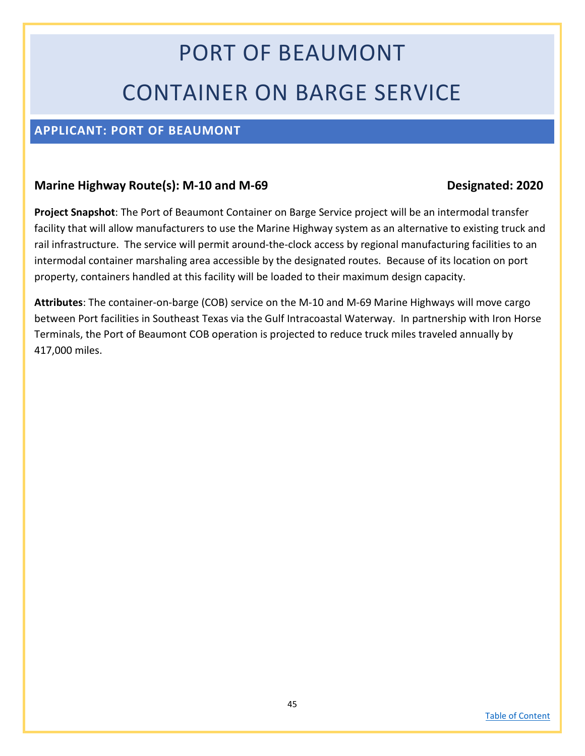# PORT OF BEAUMONT CONTAINER ON BARGE SERVICE

### <span id="page-44-0"></span>**APPLICANT: PORT OF BEAUMONT**

#### **Marine Highway Route(s): M-10 and M-69 Designated: 2020**

**Project Snapshot**: The Port of Beaumont Container on Barge Service project will be an intermodal transfer facility that will allow manufacturers to use the Marine Highway system as an alternative to existing truck and rail infrastructure. The service will permit around-the-clock access by regional manufacturing facilities to an intermodal container marshaling area accessible by the designated routes. Because of its location on port property, containers handled at this facility will be loaded to their maximum design capacity.

**Attributes**: The container-on-barge (COB) service on the M-10 and M-69 Marine Highways will move cargo between Port facilities in Southeast Texas via the Gulf Intracoastal Waterway. In partnership with Iron Horse Terminals, the Port of Beaumont COB operation is projected to reduce truck miles traveled annually by 417,000 miles.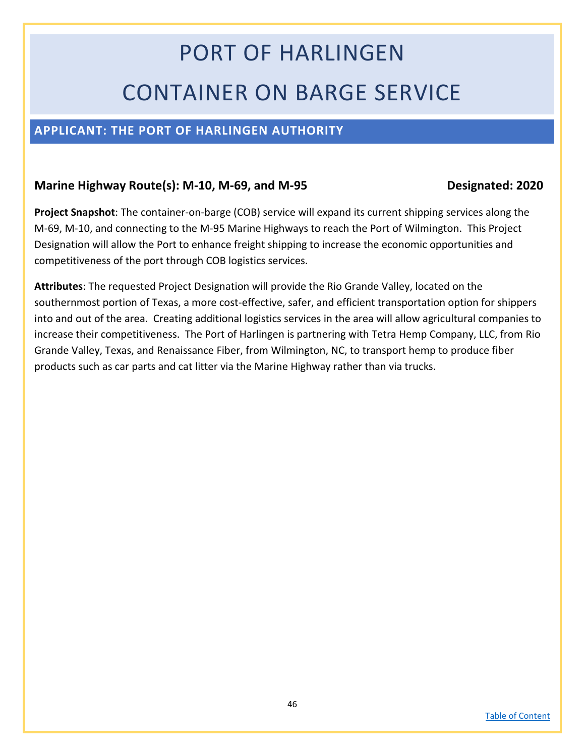# PORT OF HARLINGEN CONTAINER ON BARGE SERVICE

### <span id="page-45-0"></span>**APPLICANT: THE PORT OF HARLINGEN AUTHORITY**

#### **Marine Highway Route(s): M-10, M-69, and M-95 Designated: 2020**

**Project Snapshot**: The container-on-barge (COB) service will expand its current shipping services along the M-69, M-10, and connecting to the M-95 Marine Highways to reach the Port of Wilmington. This Project Designation will allow the Port to enhance freight shipping to increase the economic opportunities and competitiveness of the port through COB logistics services.

**Attributes**: The requested Project Designation will provide the Rio Grande Valley, located on the southernmost portion of Texas, a more cost-effective, safer, and efficient transportation option for shippers into and out of the area. Creating additional logistics services in the area will allow agricultural companies to increase their competitiveness. The Port of Harlingen is partnering with Tetra Hemp Company, LLC, from Rio Grande Valley, Texas, and Renaissance Fiber, from Wilmington, NC, to transport hemp to produce fiber products such as car parts and cat litter via the Marine Highway rather than via trucks.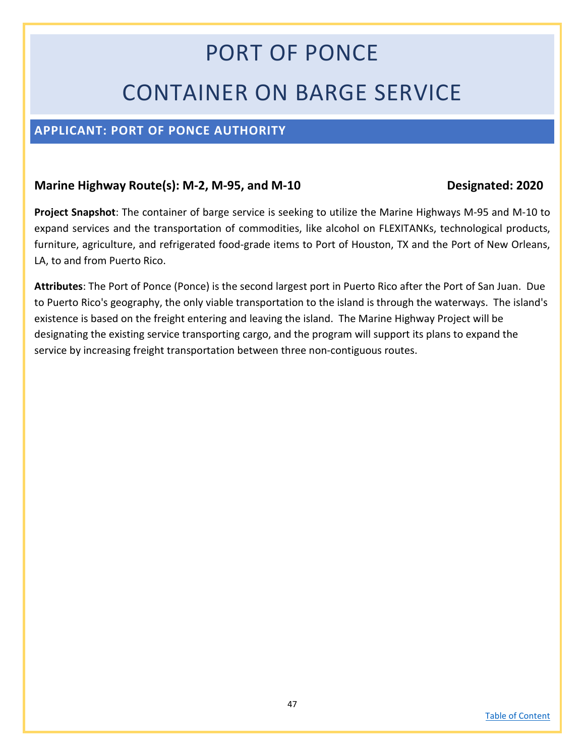# PORT OF PONCE CONTAINER ON BARGE SERVICE

### <span id="page-46-0"></span>**APPLICANT: PORT OF PONCE AUTHORITY**

### Marine Highway Route(s): M-2, M-95, and M-10 Designated: 2020

**Project Snapshot**: The container of barge service is seeking to utilize the Marine Highways M-95 and M-10 to expand services and the transportation of commodities, like alcohol on FLEXITANKs, technological products, furniture, agriculture, and refrigerated food-grade items to Port of Houston, TX and the Port of New Orleans, LA, to and from Puerto Rico.

**Attributes**: The Port of Ponce (Ponce) is the second largest port in Puerto Rico after the Port of San Juan. Due to Puerto Rico's geography, the only viable transportation to the island is through the waterways. The island's existence is based on the freight entering and leaving the island. The Marine Highway Project will be designating the existing service transporting cargo, and the program will support its plans to expand the service by increasing freight transportation between three non-contiguous routes.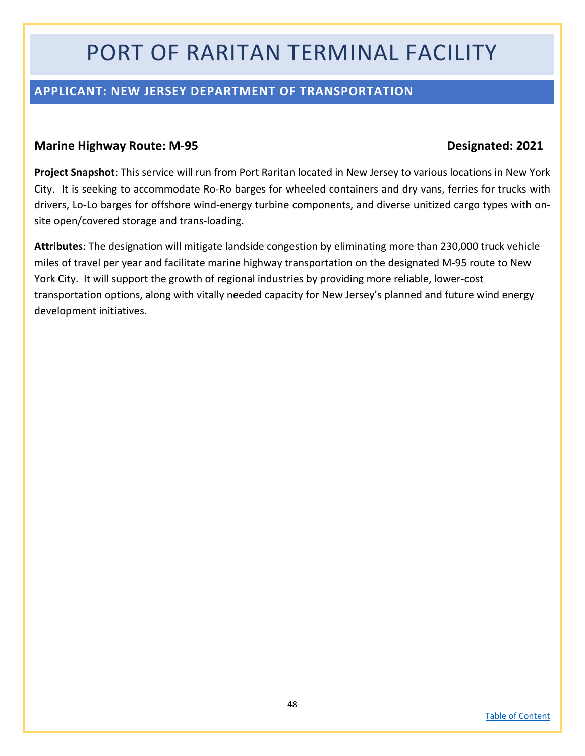## PORT OF RARITAN TERMINAL FACILITY

### <span id="page-47-0"></span>**APPLICANT: NEW JERSEY DEPARTMENT OF TRANSPORTATION**

#### **Marine Highway Route: M-95 Designated: 2021**

**Project Snapshot**: This service will run from Port Raritan located in New Jersey to various locations in New York City. It is seeking to accommodate Ro-Ro barges for wheeled containers and dry vans, ferries for trucks with drivers, Lo-Lo barges for offshore wind-energy turbine components, and diverse unitized cargo types with onsite open/covered storage and trans-loading.

**Attributes**: The designation will mitigate landside congestion by eliminating more than 230,000 truck vehicle miles of travel per year and facilitate marine highway transportation on the designated M-95 route to New York City. It will support the growth of regional industries by providing more reliable, lower-cost transportation options, along with vitally needed capacity for New Jersey's planned and future wind energy development initiatives.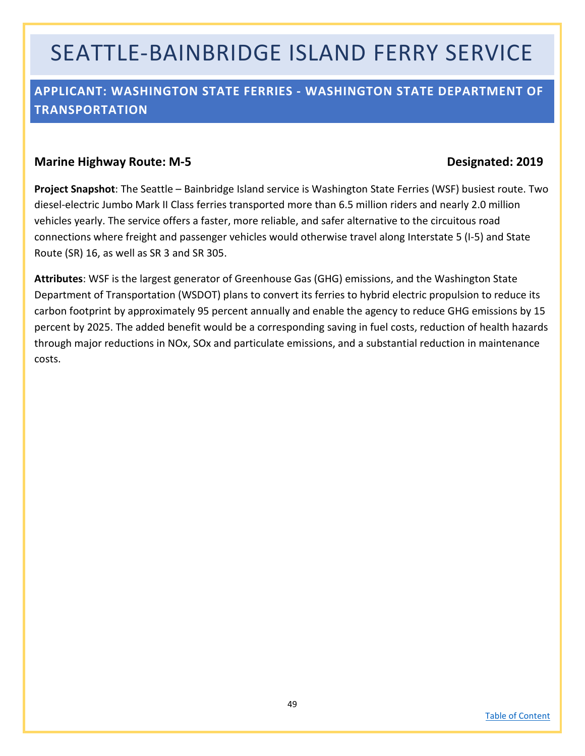## SEATTLE-BAINBRIDGE ISLAND FERRY SERVICE

### <span id="page-48-0"></span>**APPLICANT: WASHINGTON STATE FERRIES - WASHINGTON STATE DEPARTMENT OF TRANSPORTATION**

#### **Marine Highway Route: M-5 Designated: 2019**

**Project Snapshot**: The Seattle – Bainbridge Island service is Washington State Ferries (WSF) busiest route. Two diesel-electric Jumbo Mark II Class ferries transported more than 6.5 million riders and nearly 2.0 million vehicles yearly. The service offers a faster, more reliable, and safer alternative to the circuitous road connections where freight and passenger vehicles would otherwise travel along Interstate 5 (I-5) and State Route (SR) 16, as well as SR 3 and SR 305.

**Attributes**: WSF is the largest generator of Greenhouse Gas (GHG) emissions, and the Washington State Department of Transportation (WSDOT) plans to convert its ferries to hybrid electric propulsion to reduce its carbon footprint by approximately 95 percent annually and enable the agency to reduce GHG emissions by 15 percent by 2025. The added benefit would be a corresponding saving in fuel costs, reduction of health hazards through major reductions in NOx, SOx and particulate emissions, and a substantial reduction in maintenance costs.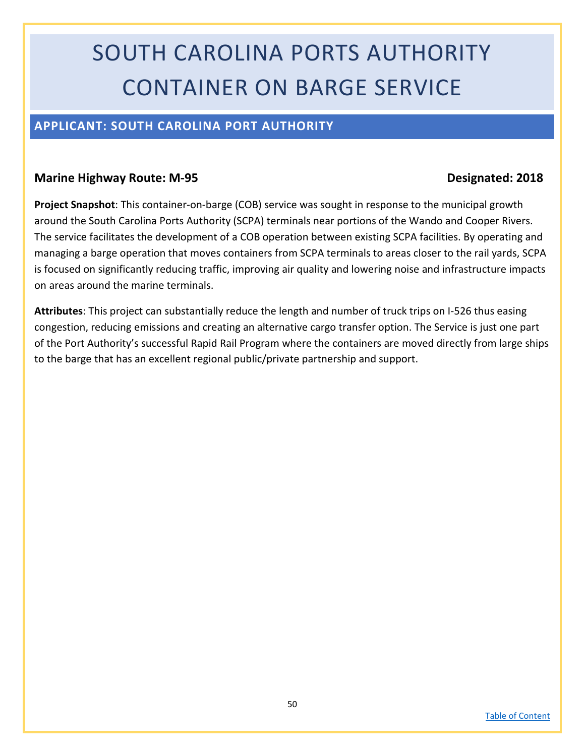# SOUTH CAROLINA PORTS AUTHORITY CONTAINER ON BARGE SERVICE

### <span id="page-49-0"></span>**APPLICANT: SOUTH CAROLINA PORT AUTHORITY**

#### **Marine Highway Route: M-95 Designated: 2018**

**Project Snapshot**: This container-on-barge (COB) service was sought in response to the municipal growth around the South Carolina Ports Authority (SCPA) terminals near portions of the Wando and Cooper Rivers. The service facilitates the development of a COB operation between existing SCPA facilities. By operating and managing a barge operation that moves containers from SCPA terminals to areas closer to the rail yards, SCPA is focused on significantly reducing traffic, improving air quality and lowering noise and infrastructure impacts on areas around the marine terminals.

**Attributes**: This project can substantially reduce the length and number of truck trips on I-526 thus easing congestion, reducing emissions and creating an alternative cargo transfer option. The Service is just one part of the Port Authority's successful Rapid Rail Program where the containers are moved directly from large ships to the barge that has an excellent regional public/private partnership and support.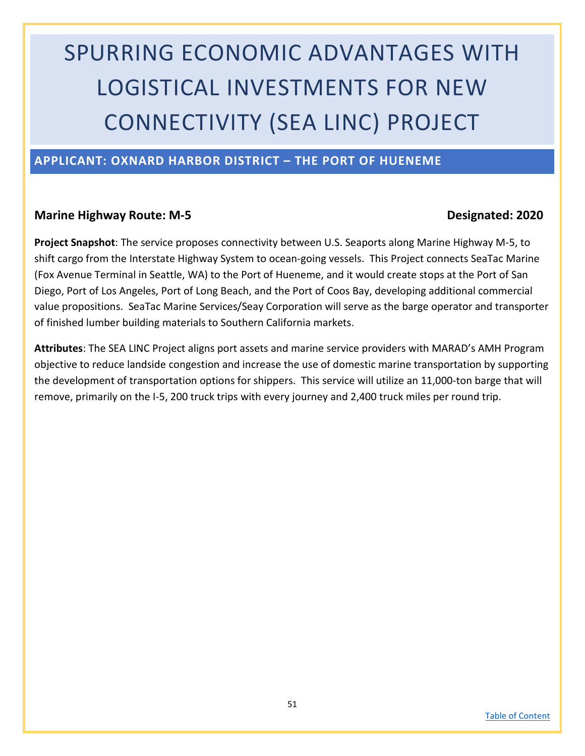# SPURRING ECONOMIC ADVANTAGES WITH LOGISTICAL INVESTMENTS FOR NEW CONNECTIVITY (SEA LINC) PROJECT

### <span id="page-50-0"></span>**APPLICANT: OXNARD HARBOR DISTRICT – THE PORT OF HUENEME**

#### **Marine Highway Route: M-5 Designated: 2020**

**Project Snapshot**: The service proposes connectivity between U.S. Seaports along Marine Highway M-5, to shift cargo from the Interstate Highway System to ocean-going vessels. This Project connects SeaTac Marine (Fox Avenue Terminal in Seattle, WA) to the Port of Hueneme, and it would create stops at the Port of San Diego, Port of Los Angeles, Port of Long Beach, and the Port of Coos Bay, developing additional commercial value propositions. SeaTac Marine Services/Seay Corporation will serve as the barge operator and transporter of finished lumber building materials to Southern California markets.

**Attributes**: The SEA LINC Project aligns port assets and marine service providers with MARAD's AMH Program objective to reduce landside congestion and increase the use of domestic marine transportation by supporting the development of transportation options for shippers. This service will utilize an 11,000-ton barge that will remove, primarily on the I-5, 200 truck trips with every journey and 2,400 truck miles per round trip.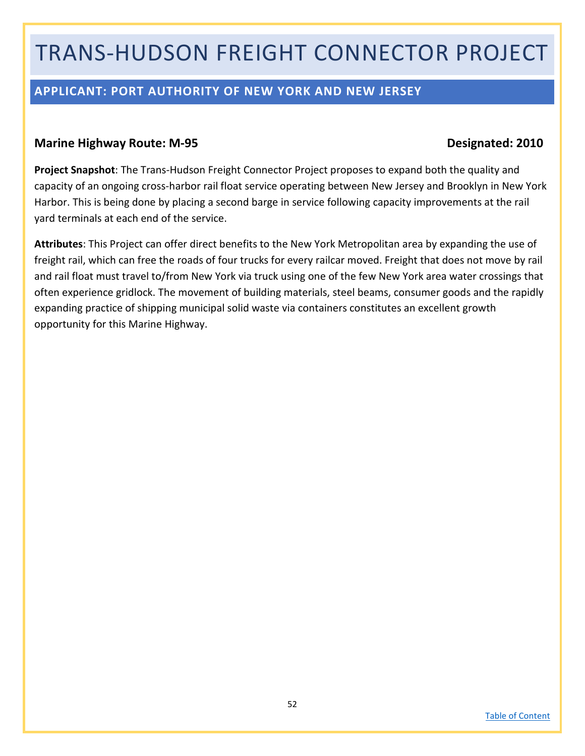## TRANS-HUDSON FREIGHT CONNECTOR PROJECT

### <span id="page-51-0"></span>**APPLICANT: PORT AUTHORITY OF NEW YORK AND NEW JERSEY**

#### **Marine Highway Route: M-95 Designated: 2010**

**Project Snapshot**: The Trans-Hudson Freight Connector Project proposes to expand both the quality and capacity of an ongoing cross-harbor rail float service operating between New Jersey and Brooklyn in New York Harbor. This is being done by placing a second barge in service following capacity improvements at the rail yard terminals at each end of the service.

**Attributes**: This Project can offer direct benefits to the New York Metropolitan area by expanding the use of freight rail, which can free the roads of four trucks for every railcar moved. Freight that does not move by rail and rail float must travel to/from New York via truck using one of the few New York area water crossings that often experience gridlock. The movement of building materials, steel beams, consumer goods and the rapidly expanding practice of shipping municipal solid waste via containers constitutes an excellent growth opportunity for this Marine Highway.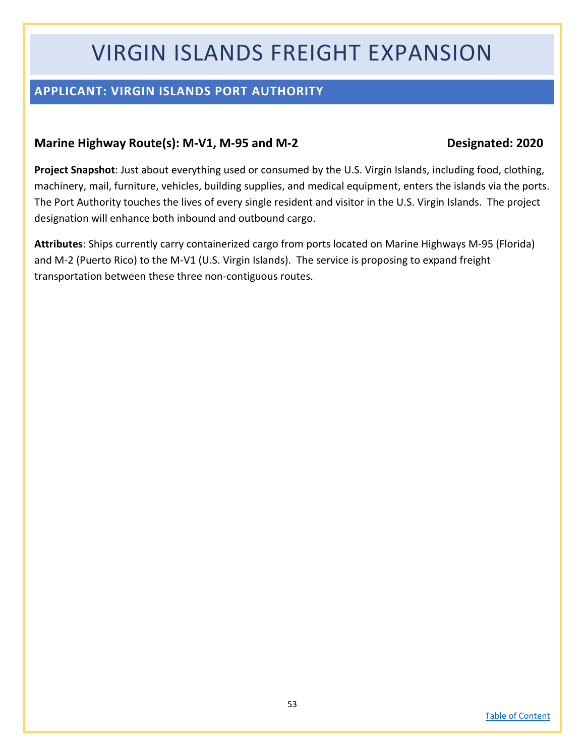## VIRGIN ISLANDS FREIGHT EXPANSION

### <span id="page-52-0"></span>**APPLICANT: VIRGIN ISLANDS PORT AUTHORITY**

### **Marine Highway Route(s): M-V1, M-95 and M-2 Designated: 2020**

**Project Snapshot**: Just about everything used or consumed by the U.S. Virgin Islands, including food, clothing, machinery, mail, furniture, vehicles, building supplies, and medical equipment, enters the islands via the ports. The Port Authority touches the lives of every single resident and visitor in the U.S. Virgin Islands. The project designation will enhance both inbound and outbound cargo.

**Attributes**: Ships currently carry containerized cargo from ports located on Marine Highways M-95 (Florida) and M-2 (Puerto Rico) to the M-V1 (U.S. Virgin Islands). The service is proposing to expand freight transportation between these three non-contiguous routes.